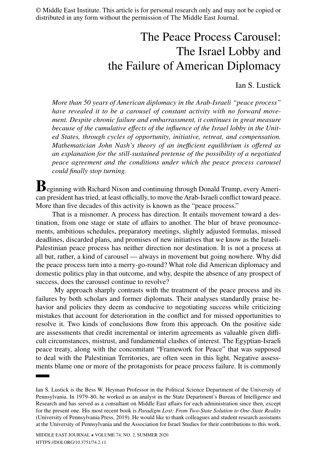© Middle East Institute. This article is for personal research only and may not be copied or distributed in any form without the permission of The Middle East Journal.

# The Peace Process Carousel: The Israel Lobby and the Failure of American Diplomacy

Ian S. Lustick

*More than 50 years of American diplomacy in the Arab-Israeli "peace process" have revealed it to be a carousel of constant activity with no forward movement. Despite chronic failure and embarrassment, it continues in great measure because of the cumulative effects of the influence of the Israel lobby in the United States, through cycles of opportunity, initiative, retreat, and compensation. Mathematician John Nash's theory of an inefficient equilibrium is offered as an explanation for the still-sustained pretense of the possibility of a negotiated peace agreement and the conditions under which the peace process carousel could finally stop turning.*

**B**eginning with Richard Nixon and continuing through Donald Trump, every American president has tried, at least officially, to move the Arab-Israeli conflict toward peace. More than five decades of this activity is known as the "peace process."

That is a misnomer. A process has direction. It entails movement toward a destination, from one stage or state of affairs to another. The blur of brave pronouncements, ambitious schedules, preparatory meetings, slightly adjusted formulas, missed deadlines, discarded plans, and promises of new initiatives that we know as the Israeli-Palestinian peace process has neither direction nor destination. It is not a process at all but, rather, a kind of carousel — always in movement but going nowhere. Why did the peace process turn into a merry-go-round? What role did American diplomacy and domestic politics play in that outcome, and why, despite the absence of any prospect of success, does the carousel continue to revolve?

 My approach sharply contrasts with the treatment of the peace process and its failures by both scholars and former diplomats. Their analyses standardly praise behavior and policies they deem as conducive to negotiating success while criticizing mistakes that account for deterioration in the conflict and for missed opportunities to resolve it. Two kinds of conclusions flow from this approach. On the positive side are assessments that credit incremental or interim agreements as valuable given difficult circumstances, mistrust, and fundamental clashes of interest. The Egyptian-Israeli peace treaty, along with the concomitant "Framework for Peace" that was supposed to deal with the Palestinian Territories, are often seen in this light. Negative assessments blame one or more of the protagonists for peace process failure. It is commonly

Ian S. Lustick is the Bess W. Heyman Professor in the Political Science Department of the University of Pennsylvania. In 1979–80, he worked as an analyst in the State Department's Bureau of Intelligence and Research and has served as a consultant on Middle East affairs for each administration since then, except for the present one. His most recent book is *[Paradigm Lost: From Two-State Solution to One-State Reality](https://www.upenn.edu/pennpress/book/4306.html)* (University of Pennsylvania Press, 2019). He would like to thank colleagues and student research assistants at the University of Pennsylvania and the Association for Israel Studies for their contributions to this work.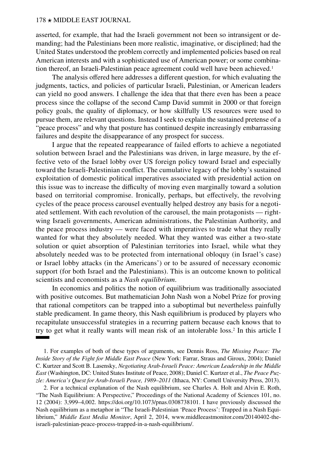asserted, for example, that had the Israeli government not been so intransigent or demanding; had the Palestinians been more realistic, imaginative, or disciplined; had the United States understood the problem correctly and implemented policies based on real American interests and with a sophisticated use of American power; or some combination thereof, an Israeli-Palestinian peace agreement could well have been achieved.<sup>1</sup>

The analysis offered here addresses a different question, for which evaluating the judgments, tactics, and policies of particular Israeli, Palestinian, or American leaders can yield no good answers. I challenge the idea that that there even has been a peace process since the collapse of the second Camp David summit in 2000 or that foreign policy goals, the quality of diplomacy, or how skillfully US resources were used to pursue them, are relevant questions. Instead I seek to explain the sustained pretense of a "peace process" and why that posture has continued despite increasingly embarrassing failures and despite the disappearance of any prospect for success.

I argue that the repeated reappearance of failed efforts to achieve a negotiated solution between Israel and the Palestinians was driven, in large measure, by the effective veto of the Israel lobby over US foreign policy toward Israel and especially toward the Israeli-Palestinian conflict. The cumulative legacy of the lobby's sustained exploitation of domestic political imperatives associated with presidential action on this issue was to increase the difficulty of moving even marginally toward a solution based on territorial compromise. Ironically, perhaps, but effectively, the revolving cycles of the peace process carousel eventually helped destroy any basis for a negotiated settlement. With each revolution of the carousel, the main protagonists — rightwing Israeli governments, American administrations, the Palestinian Authority, and the peace process industry –– were faced with imperatives to trade what they really wanted for what they absolutely needed. What they wanted was either a two-state solution or quiet absorption of Palestinian territories into Israel, while what they absolutely needed was to be protected from international obloquy (in Israel's case) or Israel lobby attacks (in the Americans') or to be assured of necessary economic support (for both Israel and the Palestinians). This is an outcome known to political scientists and economists as a *Nash equilibrium*.

In economics and politics the notion of equilibrium was traditionally associated with positive outcomes. But mathematician John Nash won a Nobel Prize for proving that rational competitors can be trapped into a suboptimal but nevertheless painfully stable predicament. In game theory, this Nash equilibrium is produced by players who recapitulate unsuccessful strategies in a recurring pattern because each knows that to try to get what it really wants will mean risk of an intolerable loss.2 In this article I

1. For examples of both of these types of arguments, see Dennis Ross, *[The Missing Peace: The](https://us.macmillan.com/books/9780374529802)  [Inside Story of the Fight for Middle East Peace](https://us.macmillan.com/books/9780374529802)* (New York: Farrar, Straus and Giroux, 2004); Daniel C. Kurtzer and Scott B. Lasensky, *[Negotiating Arab-Israeli Peace: American Leadership in the Middle](https://www.usip.org/publications/2008/04/negotiating-arab-israeli-peace)  [East](https://www.usip.org/publications/2008/04/negotiating-arab-israeli-peace)* (Washington, DC: United States Institute of Peace, 2008); Daniel C. Kurtzer et al., *[The Peace Puz](https://www.cornellpress.cornell.edu/book/9781501710681/the-peace-puzzle/)[zle: America's Quest for Arab-Israeli Peace, 1989–2011](https://www.cornellpress.cornell.edu/book/9781501710681/the-peace-puzzle/)* (Ithaca, NY: Cornell University Press, 2013).

2. For a technical explanation of the Nash equilibrium, see Charles A. Holt and Alvin E. Roth, "The Nash Equilibrium: A Perspective," Proceedings of the National Academy of Sciences 101, no. 12 (2004): 3,999–4,002. [https://doi.org/10.1073/pnas.0308738101.](https://doi.org/10.1073/pnas.0308738101) I have previously discussed the Nash equilibrium as a metaphor in "The Israeli-Palestinian 'Peace Process': Trapped in a Nash Equilibrium," *Middle East Media Monitor*, April 2, 2014, [www.middleeastmonitor.com/20140402-the](http://www.middleeastmonitor.com/20140402-the-israeli-palestinian-peace-process-trapped-in-a-nash-equilibrium/)[israeli-palestinian-peace-process-trapped-in-a-nash-equilibrium/.](http://www.middleeastmonitor.com/20140402-the-israeli-palestinian-peace-process-trapped-in-a-nash-equilibrium/)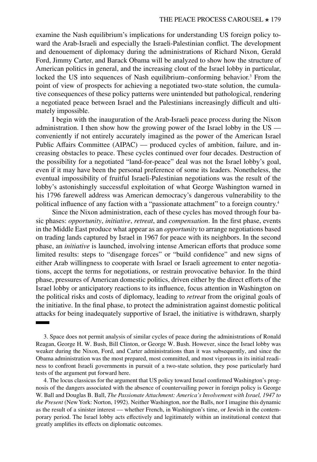examine the Nash equilibrium's implications for understanding US foreign policy toward the Arab-Israeli and especially the Israeli-Palestinian conflict. The development and denouement of diplomacy during the administrations of Richard Nixon, Gerald Ford, Jimmy Carter, and Barack Obama will be analyzed to show how the structure of American politics in general, and the increasing clout of the Israel lobby in particular, locked the US into sequences of Nash equilibrium–conforming behavior.<sup>3</sup> From the point of view of prospects for achieving a negotiated two-state solution, the cumulative consequences of these policy patterns were unintended but pathological, rendering a negotiated peace between Israel and the Palestinians increasingly difficult and ultimately impossible.

I begin with the inauguration of the Arab-Israeli peace process during the Nixon administration. I then show how the growing power of the Israel lobby in the US conveniently if not entirely accurately imagined as the power of the American Israel Public Affairs Committee (AIPAC) — produced cycles of ambition, failure, and increasing obstacles to peace. These cycles continued over four decades. Destruction of the possibility for a negotiated "land-for-peace" deal was not the Israel lobby's goal, even if it may have been the personal preference of some its leaders. Nonetheless, the eventual impossibility of fruitful Israeli-Palestinian negotiations was the result of the lobby's astonishingly successful exploitation of what George Washington warned in his 1796 farewell address was American democracy's dangerous vulnerability to the political influence of any faction with a "passionate attachment" to a foreign country.4

Since the Nixon administration, each of these cycles has moved through four basic phases: *opportunity*, *initiative*, *retreat*, and *compensation*. In the first phase, events in the Middle East produce what appear as an *opportunity* to arrange negotiations based on trading lands captured by Israel in 1967 for peace with its neighbors. In the second phase, an *initiative* is launched, involving intense American efforts that produce some limited results: steps to "disengage forces" or "build confidence" and new signs of either Arab willingness to cooperate with Israel or Israeli agreement to enter negotiations, accept the terms for negotiations, or restrain provocative behavior. In the third phase, pressures of American domestic politics, driven either by the direct efforts of the Israel lobby or anticipatory reactions to its influence, focus attention in Washington on the political risks and costs of diplomacy, leading to *retreat* from the original goals of the initiative. In the final phase, to protect the administration against domestic political attacks for being inadequately supportive of Israel, the initiative is withdrawn, sharply

<sup>3.</sup> Space does not permit analysis of similar cycles of peace during the administrations of Ronald Reagan, George H. W. Bush, Bill Clinton, or George W. Bush. However, since the Israel lobby was weaker during the Nixon, Ford, and Carter administrations than it was subsequently, and since the Obama administration was the most prepared, most committed, and most vigorous in its initial readiness to confront Israeli governments in pursuit of a two-state solution, they pose particularly hard tests of the argument put forward here.

<sup>4.</sup> The locus classicus for the argument that US policy toward Israel confirmed Washington's prognosis of the dangers associated with the absence of countervailing power in foreign policy is George W. Ball and Douglas B. Ball, *[The Passionate Attachment: America's Involvement with Israel, 1947 to](https://www.google.com/books/edition/The_Passionate_Attachment/sZmoMQEACAAJ?hl=en) [the Present](https://www.google.com/books/edition/The_Passionate_Attachment/sZmoMQEACAAJ?hl=en)* (New York: Norton, 1992). Neither Washington, nor the Balls, nor I imagine this dynamic as the result of a sinister interest — whether French, in Washington's time, or Jewish in the contemporary period. The Israel lobby acts effectively and legitimately within an institutional context that greatly amplifies its effects on diplomatic outcomes.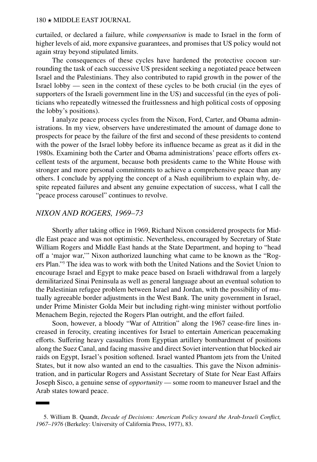curtailed, or declared a failure, while *compensation* is made to Israel in the form of higher levels of aid, more expansive guarantees, and promises that US policy would not again stray beyond stipulated limits.

The consequences of these cycles have hardened the protective cocoon surrounding the task of each successive US president seeking a negotiated peace between Israel and the Palestinians. They also contributed to rapid growth in the power of the Israel lobby –– seen in the context of these cycles to be both crucial (in the eyes of supporters of the Israeli government line in the US) and successful (in the eyes of politicians who repeatedly witnessed the fruitlessness and high political costs of opposing the lobby's positions).

I analyze peace process cycles from the Nixon, Ford, Carter, and Obama administrations. In my view, observers have underestimated the amount of damage done to prospects for peace by the failure of the first and second of these presidents to contend with the power of the Israel lobby before its influence became as great as it did in the 1980s. Examining both the Carter and Obama administrations' peace efforts offers excellent tests of the argument, because both presidents came to the White House with stronger and more personal commitments to achieve a comprehensive peace than any others. I conclude by applying the concept of a Nash equilibrium to explain why, despite repeated failures and absent any genuine expectation of success, what I call the "peace process carousel" continues to revolve.

# *NIXON AND ROGERS, 1969–73*

Shortly after taking office in 1969, Richard Nixon considered prospects for Middle East peace and was not optimistic. Nevertheless, encouraged by Secretary of State William Rogers and Middle East hands at the State Department, and hoping to "head off a 'major war,'" Nixon authorized launching what came to be known as the "Rogers Plan."5 The idea was to work with both the United Nations and the Soviet Union to encourage Israel and Egypt to make peace based on Israeli withdrawal from a largely demilitarized Sinai Peninsula as well as general language about an eventual solution to the Palestinian refugee problem between Israel and Jordan, with the possibility of mutually agreeable border adjustments in the West Bank. The unity government in Israel, under Prime Minister Golda Meir but including right-wing minister without portfolio Menachem Begin, rejected the Rogers Plan outright, and the effort failed.

Soon, however, a bloody "War of Attrition" along the 1967 cease-fire lines increased in ferocity, creating incentives for Israel to entertain American peacemaking efforts. Suffering heavy casualties from Egyptian artillery bombardment of positions along the Suez Canal, and facing massive and direct Soviet intervention that blocked air raids on Egypt, Israel's position softened. Israel wanted Phantom jets from the United States, but it now also wanted an end to the casualties. This gave the Nixon administration, and in particular Rogers and Assistant Secretary of State for Near East Affairs Joseph Sisco, a genuine sense of *opportunity* –– some room to maneuver Israel and the Arab states toward peace.

<sup>5.</sup> William B. Quandt, *[Decade of Decisions: American Policy toward the Arab-Israeli Conflict,](https://books.google.com/books?id=5CgBKRxP3twC) [1967–1976](https://books.google.com/books?id=5CgBKRxP3twC)* (Berkeley: University of California Press, 1977), 83.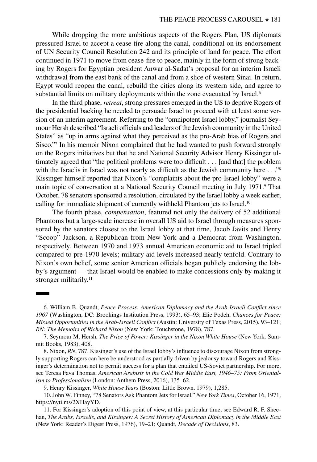While dropping the more ambitious aspects of the Rogers Plan, US diplomats pressured Israel to accept a cease-fire along the canal, conditional on its endorsement of UN Security Council Resolution 242 and its principle of land for peace. The effort continued in 1971 to move from cease-fire to peace, mainly in the form of strong backing by Rogers for Egyptian president Anwar al-Sadat's proposal for an interim Israeli withdrawal from the east bank of the canal and from a slice of western Sinai. In return, Egypt would reopen the canal, rebuild the cities along its western side, and agree to substantial limits on military deployments within the zone evacuated by Israel.<sup>6</sup>

In the third phase, *retreat*, strong pressures emerged in the US to deprive Rogers of the presidential backing he needed to persuade Israel to proceed with at least some version of an interim agreement. Referring to the "omnipotent Israel lobby," journalist Seymour Hersh described "Israeli officials and leaders of the Jewish community in the United States" as "up in arms against what they perceived as the pro-Arab bias of Rogers and Sisco."7 In his memoir Nixon complained that he had wanted to push forward strongly on the Rogers initiatives but that he and National Security Advisor Henry Kissinger ultimately agreed that "the political problems were too difficult . . . [and that] the problem with the Israelis in Israel was not nearly as difficult as the Jewish community here . . ."<sup>8</sup> Kissinger himself reported that Nixon's "complaints about the pro-Israel lobby" were a main topic of conversation at a National Security Council meeting in July 1971.<sup>9</sup> That October, 78 senators sponsored a resolution, circulated by the Israel lobby a week earlier, calling for immediate shipment of currently withheld Phantom jets to Israel.<sup>10</sup>

The fourth phase, *compensation*, featured not only the delivery of 52 additional Phantoms but a large-scale increase in overall US aid to Israel through measures sponsored by the senators closest to the Israel lobby at that time, Jacob Javits and Henry "Scoop" Jackson, a Republican from New York and a Democrat from Washington, respectively. Between 1970 and 1973 annual American economic aid to Israel tripled compared to pre-1970 levels; military aid levels increased nearly tenfold. Contrary to Nixon's own belief, some senior American officials began publicly endorsing the lobby's argument — that Israel would be enabled to make concessions only by making it stronger militarily.<sup>11</sup>

<sup>6.</sup> William B. Quandt, *[Peace Process: American Diplomacy and the Arab-Israeli Conflict since](https://www.brookings.edu/book/peace-process/)  [1967](https://www.brookings.edu/book/peace-process/)* (Washington, DC: Brookings Institution Press, 1993), 65–93; Elie Podeh, *[Chances for Peace:](https://utpress.utexas.edu/books/podeh-chances-for-peace) [Missed Opportunities in the Arab-Israeli Conflict](https://utpress.utexas.edu/books/podeh-chances-for-peace)* (Austin: University of Texas Press, 2015), 93–121; *[RN: The Memoirs of Richard Nixon](https://www.simonandschuster.com/books/RN/Richard-Nixon/9781476731834)* (New York: Touchstone, 1978), 787.

<sup>7.</sup> Seymour M. Hersh, *[The Price of Power: Kissinger in the Nixon White House](https://www.simonandschuster.com/books/PRICE-OF-POWER/Seymour-Hersh/9780671506889)* (New York: Summit Books, 1983), 408.

<sup>8.</sup> Nixon, *RN*, 787. Kissinger's use of the Israel lobby's influence to discourage Nixon from strongly supporting Rogers can here be understood as partially driven by jealousy toward Rogers and Kissinger's determination not to permit success for a plan that entailed US-Soviet partnership. For more, see Teresa Fava Thomas, *[American Arabists in the Cold War Middle East, 1946–75: From Oriental](https://www.cambridge.org/core/books/american-arabists-in-the-cold-war-middle-east-194675/923D25D5EF8E91B322BFBD072EC16EB8)[ism to Professionalism](https://www.cambridge.org/core/books/american-arabists-in-the-cold-war-middle-east-194675/923D25D5EF8E91B322BFBD072EC16EB8)* (London: Anthem Press, 2016), 135–62.

<sup>9.</sup> Henry Kissinger, *[White House Years](https://www.simonandschuster.com/books/White-House-Years/Henry-Kissinger/9781451636437)* (Boston: Little Brown, 1979), 1,285.

<sup>10.</sup> John W. Finney, "78 Senators Ask Phantom Jets for Israel," *New York Times*, October 16, 1971, <https://nyti.ms/2XHayYD>.

<sup>11.</sup> For Kissinger's adoption of this point of view, at this particular time, see Edward R. F. Sheehan, *[The Arabs, Israelis, and Kissinger: A Secret History of American Diplomacy in the Middle East](https://books.google.com/books/about/The_Arabs_Israelis_and_Kissinger.html?id=-LptAAAAMAAJ)* (New York: Reader's Digest Press, 1976), 19–21; Quandt, *Decade of Decisions*, 83.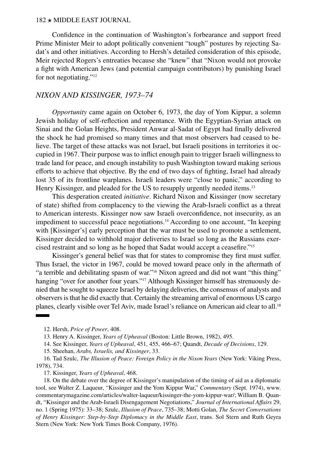Confidence in the continuation of Washington's forbearance and support freed Prime Minister Meir to adopt politically convenient "tough" postures by rejecting Sadat's and other initiatives. According to Hersh's detailed consideration of this episode, Meir rejected Rogers's entreaties because she "knew" that "Nixon would not provoke a fight with American Jews (and potential campaign contributors) by punishing Israel for not negotiating."12

## *NIXON AND KISSINGER, 1973–74*

*Opportunity* came again on October 6, 1973, the day of Yom Kippur, a solemn Jewish holiday of self-reflection and repentance. With the Egyptian-Syrian attack on Sinai and the Golan Heights, President Anwar al-Sadat of Egypt had finally delivered the shock he had promised so many times and that most observers had ceased to believe. The target of these attacks was not Israel, but Israeli positions in territories it occupied in 1967. Their purpose was to inflict enough pain to trigger Israeli willingness to trade land for peace, and enough instability to push Washington toward making serious efforts to achieve that objective. By the end of two days of fighting, Israel had already lost 35 of its frontline warplanes. Israeli leaders were "close to panic," according to Henry Kissinger, and pleaded for the US to resupply urgently needed items.<sup>13</sup>

This desperation created *initiative*. Richard Nixon and Kissinger (now secretary of state) shifted from complacency to the viewing the Arab-Israeli conflict as a threat to American interests. Kissinger now saw Israeli overconfidence, not insecurity, as an impediment to successful peace negotiations.<sup>14</sup> According to one account, "In keeping with [Kissinger's] early perception that the war must be used to promote a settlement, Kissinger decided to withhold major deliveries to Israel so long as the Russians exercised restraint and so long as he hoped that Sadat would accept a ceasefire."15

Kissinger's general belief was that for states to compromise they first must suffer. Thus Israel, the victor in 1967, could be moved toward peace only in the aftermath of "a terrible and debilitating spasm of war."16 Nixon agreed and did not want "this thing" hanging "over for another four years."<sup>17</sup> Although Kissinger himself has strenuously denied that he sought to squeeze Israel by delaying deliveries, the consensus of analysts and observers is that he did exactly that. Certainly the streaming arrival of enormous US cargo planes, clearly visible over Tel Aviv, made Israel's reliance on American aid clear to all.<sup>18</sup>

12. Hersh, *Price of Power*, 408.

13. Henry A. Kissinger, *[Years of Upheaval](https://www.simonandschuster.com/books/Years-of-Upheaval/Henry-Kissinger/9781451636475)* (Boston: Little Brown, 1982), 495.

14. See Kissinger, *Years of Upheaval*, 451, 455, 466–67; Quandt, *Decade of Decisions*, 129.

15. Sheehan, *Arabs, Israelis, and Kissinger*, 33.

16. Tad Szulc, *[The Illusion of Peace: Foreign Policy in the Nixon Years](https://books.google.com/books/about/The_Illusion_of_Peace.html?id=JDN3AAAAMAAJ)* (New York: Viking Press, 1978), 734.

17. Kissinger, *Years of Upheaval*, 468.

18. On the debate over the degree of Kissinger's manipulation of the timing of aid as a diplomatic tool, see Walter Z. Laqueur, "Kissinger and the Yom Kippur War," *Commentary* (Sept. 1974), [www.](http://www.commentarymagazine.com/articles/walter-laqueur/kissinger-the-yom-kippur-war/) [commentarymagazine.com/articles/walter-laqueur/kissinger-the-yom-kippur-war/](http://www.commentarymagazine.com/articles/walter-laqueur/kissinger-the-yom-kippur-war/); William B. Quandt, ["Kissinger and the Arab-Israeli Disengagement Negotiations,](http://www.jstor.org/stable/24356473)" *Journal of International Affairs* 29, no. 1 (Spring 1975): 33–38; Szulc, *Illusion of Peace*, 735–38; Motti Golan, *[The Secret Conversations](https://www.google.com/books/edition/The_Secret_Conversations_of_Henry_Kissin/yUhmtQAACAAJ?hl=en)  [of Henry Kissinger: Step-by-Step Diplomacy in the Middle East](https://www.google.com/books/edition/The_Secret_Conversations_of_Henry_Kissin/yUhmtQAACAAJ?hl=en)*, trans. Sol Stern and Ruth Geyra Stern (New York: New York Times Book Company, 1976).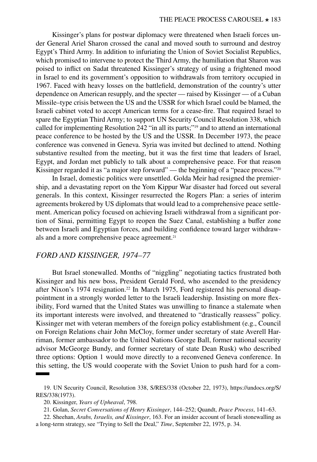Kissinger's plans for postwar diplomacy were threatened when Israeli forces under General Ariel Sharon crossed the canal and moved south to surround and destroy Egypt's Third Army. In addition to infuriating the Union of Soviet Socialist Republics, which promised to intervene to protect the Third Army, the humiliation that Sharon was poised to inflict on Sadat threatened Kissinger's strategy of using a frightened mood in Israel to end its government's opposition to withdrawals from territory occupied in 1967. Faced with heavy losses on the battlefield, demonstration of the country's utter dependence on American resupply, and the specter — raised by Kissinger — of a Cuban Missile–type crisis between the US and the USSR for which Israel could be blamed, the Israeli cabinet voted to accept American terms for a cease-fire. That required Israel to spare the Egyptian Third Army; to support UN Security Council Resolution 338, which called for implementing Resolution 242 "in all its parts;"19 and to attend an international peace conference to be hosted by the US and the USSR. In December 1973, the peace conference was convened in Geneva. Syria was invited but declined to attend. Nothing substantive resulted from the meeting, but it was the first time that leaders of Israel, Egypt, and Jordan met publicly to talk about a comprehensive peace. For that reason Kissinger regarded it as "a major step forward" — the beginning of a "peace process."<sup>20</sup>

In Israel, domestic politics were unsettled. Golda Meir had resigned the premiership, and a devastating report on the Yom Kippur War disaster had forced out several generals. In this context, Kissinger resurrected the Rogers Plan: a series of interim agreements brokered by US diplomats that would lead to a comprehensive peace settlement. American policy focused on achieving Israeli withdrawal from a significant portion of Sinai, permitting Egypt to reopen the Suez Canal, establishing a buffer zone between Israeli and Egyptian forces, and building confidence toward larger withdrawals and a more comprehensive peace agreement.<sup>21</sup>

# *FORD AND KISSINGER, 1974–77*

But Israel stonewalled. Months of "niggling" negotiating tactics frustrated both Kissinger and his new boss, President Gerald Ford, who ascended to the presidency after Nixon's 1974 resignation.<sup>22</sup> In March 1975, Ford registered his personal disappointment in a strongly worded letter to the Israeli leadership. Insisting on more flexibility, Ford warned that the United States was unwilling to finance a stalemate when its important interests were involved, and threatened to "drastically reassess" policy. Kissinger met with veteran members of the foreign policy establishment (e.g., Council on Foreign Relations chair John McCloy, former under secretary of state Averell Harriman, former ambassador to the United Nations George Ball, former national security advisor McGeorge Bundy, and former secretary of state Dean Rusk) who described three options: Option 1 would move directly to a reconvened Geneva conference. In this setting, the US would cooperate with the Soviet Union to push hard for a com-

<sup>19.</sup> UN Security Council, Resolution 338, S/RES/338 (October 22, 1973), [https://undocs.org/S/](https://undocs.org/S/RES/338(1973)) [RES/338\(1973\).](https://undocs.org/S/RES/338(1973))

<sup>20.</sup> Kissinger, *Years of Upheaval*, 798.

<sup>21.</sup> Golan, *[Secret Conversations of Henry Kissinger](https://books.google.com/books?id=TI27AAAAIAAJ)*, 144–252; Quandt, *Peace Process*, 141–63.

<sup>22.</sup> Sheehan, *Arabs, Israelis, and Kissinger*, 163. For an insider account of Israeli stonewalling as a long-term strategy, see "[Trying to Sell the Deal](http://content.time.com/time/magazine/article/0,9171,917867,00.html)," *Time*, September 22, 1975, p. 34.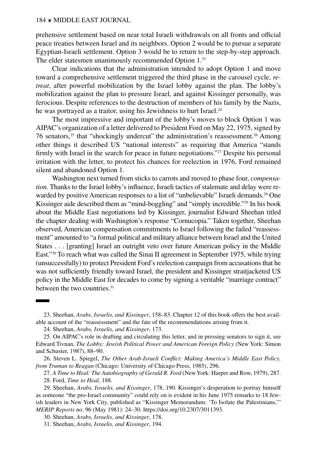prehensive settlement based on near total Israeli withdrawals on all fronts and official peace treaties between Israel and its neighbors. Option 2 would be to pursue a separate Egyptian-Israeli settlement. Option 3 would be to return to the step-by-step approach. The elder statesmen unanimously recommended Option 1.<sup>23</sup>

Clear indications that the administration intended to adopt Option 1 and move toward a comprehensive settlement triggered the third phase in the carousel cycle, *retreat*, after powerful mobilization by the Israel lobby against the plan. The lobby's mobilization against the plan to pressure Israel, and against Kissinger personally, was ferocious. Despite references to the destruction of members of his family by the Nazis, he was portrayed as a traitor, using his Jewishness to hurt Israel.<sup>24</sup>

The most impressive and important of the lobby's moves to block Option 1 was AIPAC's organization of a letter delivered to President Ford on May 22, 1975, signed by 76 senators,<sup>25</sup> that "shockingly undercut" the administration's reassessment.<sup>26</sup> Among other things it described US "national interests" as requiring that America "stands firmly with Israel in the search for peace in future negotiations."<sup>27</sup> Despite his personal irritation with the letter, to protect his chances for reelection in 1976, Ford remained silent and abandoned Option 1.

Washington next turned from sticks to carrots and moved to phase four, *compensation*. Thanks to the Israel lobby's influence, Israeli tactics of stalemate and delay were rewarded by positive American responses to a list of "unbelievable" Israeli demands.<sup>28</sup> One Kissinger aide described them as "mind-boggling" and "simply incredible."29 In his book about the Middle East negotiations led by Kissinger, journalist Edward Sheehan titled the chapter dealing with Washington's response "Cornucopia." Taken together, Sheehan observed, American compensation commitments to Israel following the failed "reassessment" amounted to "a formal political and military alliance between Israel and the United States . . . [granting] Israel an outright veto over future American policy in the Middle East."30 To reach what was called the Sinai II agreement in September 1975, while trying (unsuccessfully) to protect President Ford's reelection campaign from accusations that he was not sufficiently friendly toward Israel, the president and Kissinger straitjacketed US policy in the Middle East for decades to come by signing a veritable "marriage contract" between the two countries.<sup>31</sup>

<sup>23.</sup> Sheehan, *Arabs, Israelis, and Kissinger*, 158–83. Chapter 12 of this book offers the best available account of the "reassessment" and the fate of the recommendations arising from it.

<sup>24.</sup> Sheehan, *Arabs, Israelis, and Kissinger*, 173.

<sup>25.</sup> On AIPAC's role in drafting and circulating this letter, and in pressing senators to sign it, see Edward Tivnan, *[The Lobby: Jewish Political Power and American Foreign Policy](https://books.google.com/books/about/The_Lobby.html?id=Sp8a_fv6Cv8C)* (New York: Simon and Schuster, 1987), 88–90.

<sup>26.</sup> Steven L. Spiegel, *[The Other Arab-Israeli Conflict: Making America's Middle East Policy,](https://press.uchicago.edu/ucp/books/book/chicago/O/bo5953649.html) [from Truman to Reagan](https://press.uchicago.edu/ucp/books/book/chicago/O/bo5953649.html)* (Chicago: University of Chicago Press, 1985), 296.

<sup>27.</sup> *[A Time to Heal: The Autobiography of Gerald R. Ford](https://books.google.com/books/about/A_Time_to_Heal.html?id=FvV4AAAAMAAJ)* (New York: Harper and Row, 1979), 287. 28. Ford, *Time to Heal,* 188.

<sup>29.</sup> Sheehan, *Arabs, Israelis, and Kissinger*, 178, 190. Kissinger's desperation to portray himself as someone "the pro-Israel community" could rely on is evident in his June 1975 remarks to 18 Jewish leaders in New York City, published as "Kissinger Memorandum: 'To Isolate the Palestinians,'" *MERIP Reports* no. 96 (May 1981): 24–30. <https://doi.org/10.2307/3011393>.

<sup>30.</sup> Sheehan, *Arabs, Israelis, and Kissinger*, 178.

<sup>31.</sup> Sheehan, *Arabs, Israelis, and Kissinger*, 194.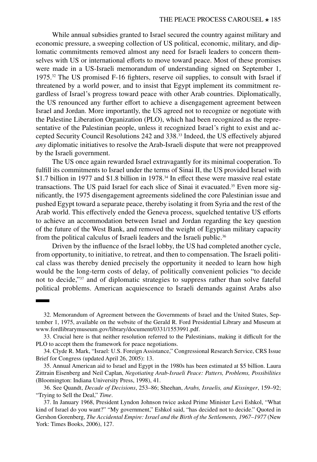While annual subsidies granted to Israel secured the country against military and economic pressure, a sweeping collection of US political, economic, military, and diplomatic commitments removed almost any need for Israeli leaders to concern themselves with US or international efforts to move toward peace. Most of these promises were made in a US-Israeli memorandum of understanding signed on September 1, 1975.32 The US promised F-16 fighters, reserve oil supplies, to consult with Israel if threatened by a world power, and to insist that Egypt implement its commitment regardless of Israel's progress toward peace with other Arab countries. Diplomatically, the US renounced any further effort to achieve a disengagement agreement between Israel and Jordan. More importantly, the US agreed not to recognize or negotiate with the Palestine Liberation Organization (PLO), which had been recognized as the representative of the Palestinian people, unless it recognized Israel's right to exist and accepted Security Council Resolutions 242 and 338.33 Indeed, the US effectively abjured *any* diplomatic initiatives to resolve the Arab-Israeli dispute that were not preapproved by the Israeli government.

The US once again rewarded Israel extravagantly for its minimal cooperation. To fulfill its commitments to Israel under the terms of Sinai II, the US provided Israel with \$1.7 billion in 1977 and \$1.8 billion in 1978.<sup>34</sup> In effect these were massive real estate transactions. The US paid Israel for each slice of Sinai it evacuated.<sup>35</sup> Even more significantly, the 1975 disengagement agreements sidelined the core Palestinian issue and pushed Egypt toward a separate peace, thereby isolating it from Syria and the rest of the Arab world. This effectively ended the Geneva process, squelched tentative US efforts to achieve an accommodation between Israel and Jordan regarding the key question of the future of the West Bank, and removed the weight of Egyptian military capacity from the political calculus of Israeli leaders and the Israeli public.36

Driven by the influence of the Israel lobby, the US had completed another cycle, from opportunity, to initiative, to retreat, and then to compensation. The Israeli political class was thereby denied precisely the opportunity it needed to learn how high would be the long-term costs of delay, of politically convenient policies "to decide not to decide,"37 and of diplomatic strategies to suppress rather than solve fateful political problems. American acquiescence to Israeli demands against Arabs also

<sup>32.</sup> Memorandum of Agreement between the Governments of Israel and the United States, September 1, 1975, available on the website of the Gerald R. Ford Presidential Library and Museum at [www.fordlibrarymuseum.gov/library/document/0331/1553991.pdf](http://www.fordlibrarymuseum.gov/library/document/0331/1553991.pdf).

<sup>33.</sup> Crucial here is that neither resolution referred to the Palestinians, making it difficult for the PLO to accept them the framework for peace negotiations.

<sup>34.</sup> Clyde R. Mark, ["Israel: U.S. Foreign Assistance,](https://fas.org/sgp/crs/mideast/IB85066.pdf)" Congressional Research Service, CRS Issue Brief for Congress (updated April 26, 2005): 13.

<sup>35.</sup> Annual American aid to Israel and Egypt in the 1980s has been estimated at \$5 billion. Laura Zittrain Eisenberg and Neil Caplan, *[Negotiating Arab-Israeli Peace: Patters, Problems, Possibilities](https://www.google.com/books/edition/Negotiating_Arab_Israeli_Peace/sTysm1Hw0R4C)* (Bloomington: Indiana University Press, 1998), 41.

<sup>36.</sup> See Quandt, *Decade of Decisions*, 253–86; Sheehan, *Arabs, Israelis, and Kissinger*, 159–92; "Trying to Sell the Deal," *Time*.

<sup>37.</sup> In January 1968, President Lyndon Johnson twice asked Prime Minister Levi Eshkol, "What kind of Israel do you want?" "My government," Eshkol said, "has decided not to decide." Quoted in Gershon Gorenberg, *[The Accidental Empire: Israel and the Birth of the Settlements, 1967–1977](https://us.macmillan.com/books/9780805082418)* (New York: Times Books, 2006), 127.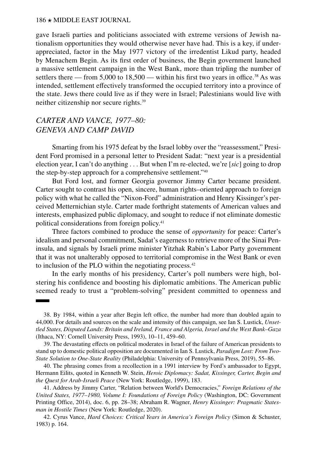gave Israeli parties and politicians associated with extreme versions of Jewish nationalism opportunities they would otherwise never have had. This is a key, if underappreciated, factor in the May 1977 victory of the irredentist Likud party, headed by Menachem Begin. As its first order of business, the Begin government launched a massive settlement campaign in the West Bank, more than tripling the number of settlers there — from 5,000 to 18,500 — within his first two years in office.<sup>38</sup> As was intended, settlement effectively transformed the occupied territory into a province of the state. Jews there could live as if they were in Israel; Palestinians would live with neither citizenship nor secure rights.39

# *CARTER AND VANCE, 1977–80: GENEVA AND CAMP DAVID*

Smarting from his 1975 defeat by the Israel lobby over the "reassessment," President Ford promised in a personal letter to President Sadat: "next year is a presidential election year, I can't do anything . . . But when I'm re-elected, we're [*sic*] going to drop the step-by-step approach for a comprehensive settlement."40

But Ford lost, and former Georgia governor Jimmy Carter became president. Carter sought to contrast his open, sincere, human rights–oriented approach to foreign policy with what he called the "Nixon-Ford" administration and Henry Kissinger's perceived Metternichian style. Carter made forthright statements of American values and interests, emphasized public diplomacy, and sought to reduce if not eliminate domestic political considerations from foreign policy.41

Three factors combined to produce the sense of *opportunity* for peace: Carter's idealism and personal commitment, Sadat's eagerness to retrieve more of the Sinai Peninsula, and signals by Israeli prime minister Yitzhak Rabin's Labor Party government that it was not unalterably opposed to territorial compromise in the West Bank or even to inclusion of the PLO within the negotiating process.42

In the early months of his presidency, Carter's poll numbers were high, bolstering his confidence and boosting his diplomatic ambitions. The American public seemed ready to trust a "problem-solving" president committed to openness and

<sup>38.</sup> By 1984, within a year after Begin left office, the number had more than doubled again to 44,000. For details and sources on the scale and intensity of this campaign, see Ian S. Lustick, *[Unset](https://doi.org/10.7591/9781501731945)[tled States, Disputed Lands: Britain and Ireland, France and Algeria, Israel and the West Bank–Gaza](https://doi.org/10.7591/9781501731945)* (Ithaca, NY: Cornell University Press, 1993), 10–11, 459–60.

<sup>39.</sup> The devastating effects on political moderates in Israel of the failure of American presidents to stand up to domestic political opposition are documented in Ian S. Lustick, *[Paradigm Lost: From Two-](https://www.upenn.edu/pennpress/book/4306.html)[State Solution to One-State Reality](https://www.upenn.edu/pennpress/book/4306.html)* (Philadelphia: University of Pennsylvania Press, 2019), 55–86.

<sup>40.</sup> The phrasing comes from a recollection in a 1991 interview by Ford's ambassador to Egypt, Hermann Eilits, quoted in Kenneth W. Stein, *[Heroic Diplomacy: Sadat, Kissinger, Carter, Begin and](https://www.routledge.com/Heroic-Diplomacy-Sadat-Kissinger-Carter-Begin-and-the-Quest-for-Arab-Israeli/Stein/p/book/9780203905227)  [the Quest for Arab-Israeli Peace](https://www.routledge.com/Heroic-Diplomacy-Sadat-Kissinger-Carter-Begin-and-the-Quest-for-Arab-Israeli/Stein/p/book/9780203905227)* (New York: Routledge, 1999), 183.

<sup>41.</sup> [Address by Jimmy Carter,](https://history.state.gov/historicaldocuments/frus1977-80v01/d6) "Relation between World's Democracies," *[Foreign Relations of the](https://history.state.gov/historicaldocuments/frus1977-80v01)  [United States, 1977–1980, Volume I: Foundations of Foreign Policy](https://history.state.gov/historicaldocuments/frus1977-80v01)* (Washington, DC: Government Printing Office, 2014), doc. 6, pp. 28–38; Abraham R. Wagner, *[Henry Kissinger: Pragmatic States](https://www.routledge.com/Henry-Kissinger-Pragmatic-Statesman-in-Hostile-Times/Wagner/p/book/9780415837392)[man in Hostile Times](https://www.routledge.com/Henry-Kissinger-Pragmatic-Statesman-in-Hostile-Times/Wagner/p/book/9780415837392)* (New York: Routledge, 2020).

<sup>42.</sup> Cyrus Vance, *[Hard Choices: Critical Years in America's Foreign Policy](https://www.google.com/books/edition/Hard_Choices/N-N4AAAAMAAJ)* (Simon & Schuster, 1983) p. 164.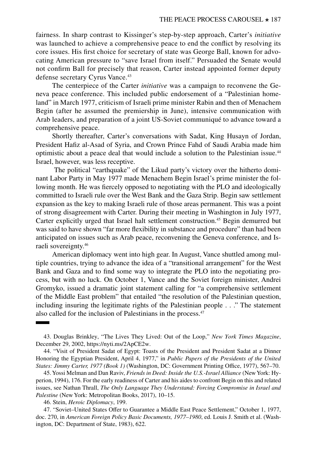fairness. In sharp contrast to Kissinger's step-by-step approach, Carter's *initiative*  was launched to achieve a comprehensive peace to end the conflict by resolving its core issues. His first choice for secretary of state was George Ball, known for advocating American pressure to "save Israel from itself." Persuaded the Senate would not confirm Ball for precisely that reason, Carter instead appointed former deputy defense secretary Cyrus Vance.<sup>43</sup>

The centerpiece of the Carter *initiative* was a campaign to reconvene the Geneva peace conference. This included public endorsement of a "Palestinian homeland" in March 1977, criticism of Israeli prime minister Rabin and then of Menachem Begin (after he assumed the premiership in June), intensive communication with Arab leaders, and preparation of a joint US-Soviet communiqué to advance toward a comprehensive peace.

Shortly thereafter, Carter's conversations with Sadat, King Husayn of Jordan, President Hafiz al-Asad of Syria, and Crown Prince Fahd of Saudi Arabia made him optimistic about a peace deal that would include a solution to the Palestinian issue.44 Israel, however, was less receptive.

 The political "earthquake" of the Likud party's victory over the hitherto dominant Labor Party in May 1977 made Menachem Begin Israel's prime minister the following month. He was fiercely opposed to negotiating with the PLO and ideologically committed to Israeli rule over the West Bank and the Gaza Strip. Begin saw settlement expansion as the key to making Israeli rule of those areas permanent. This was a point of strong disagreement with Carter. During their meeting in Washington in July 1977, Carter explicitly urged that Israel halt settlement construction.45 Begin demurred but was said to have shown "far more flexibility in substance and procedure" than had been anticipated on issues such as Arab peace, reconvening the Geneva conference, and Israeli sovereignty.46

American diplomacy went into high gear. In August, Vance shuttled among multiple countries, trying to advance the idea of a "transitional arrangement" for the West Bank and Gaza and to find some way to integrate the PLO into the negotiating process, but with no luck. On October 1, Vance and the Soviet foreign minister, Andrei Gromyko, issued a dramatic joint statement calling for "a comprehensive settlement of the Middle East problem" that entailed "the resolution of the Palestinian question, including insuring the legitimate rights of the Palestinian people . . ." The statement also called for the inclusion of Palestinians in the process.<sup>47</sup>

<sup>43.</sup> Douglas Brinkley, "The Lives They Lived: Out of the Loop," *New York Times Magazine*, December 29, 2002,<https://nyti.ms/2ApCE2w>.

<sup>44. &</sup>quot;[Visit of President Sadat of Egypt: Toasts of the President and President Sadat at a Dinner](https://sadat.umd.edu/sites/sadat.umd.edu/files/Presidential%20Toasts%20at%20a%20State%20Dinner.pdf) [Honoring the Egyptian President, April 4, 1977](https://sadat.umd.edu/sites/sadat.umd.edu/files/Presidential%20Toasts%20at%20a%20State%20Dinner.pdf)," in *[Public Papers of the Presidents of the United](https://bookstore.gpo.gov/products/public-papers-presidents-united-states-jimmy-carter-1977-book-1-january-20-june-24-1977)  [States: Jimmy Carter, 1977 \(Book 1\)](https://bookstore.gpo.gov/products/public-papers-presidents-united-states-jimmy-carter-1977-book-1-january-20-june-24-1977)* (Washington, DC: Government Printing Office, 1977), 567–70.

<sup>45.</sup> Yossi Melman and Dan Raviv, *[Friends in Deed: Inside the U.S.-Israel Alliance](https://www.google.com/books/edition/Friends_in_Deed/HIqm6iVr304C)* (New York: Hyperion, 1994), 176. For the early readiness of Carter and his aides to confront Begin on this and related issues, see Nathan Thrall, *[The Only Language They Understand: Forcing Compromise in Israel and](https://us.macmillan.com/books/9781627797092)  [Palestine](https://us.macmillan.com/books/9781627797092)* (New York: Metropolitan Books, 2017), 10–15.

<sup>46.</sup> Stein, *Heroic Diplomacy*, 199.

<sup>47. &</sup>quot;Soviet–United States Offer to Guarantee a Middle East Peace Settlement," October 1, 1977, doc. 270, in *[American Foreign Policy Basic Documents, 1977–1980](https://www.google.com/books/edition/American_Foreign_Policy/UAwTwc-fkOoC)*, ed. Louis J. Smith et al. (Washington, DC: Department of State, 1983), 622.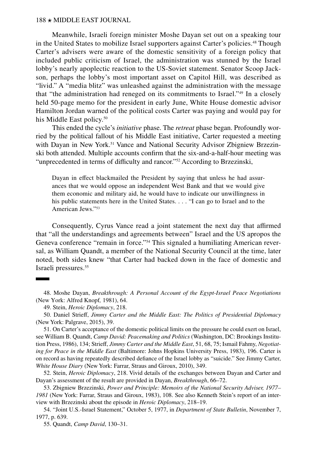Meanwhile, Israeli foreign minister Moshe Dayan set out on a speaking tour in the United States to mobilize Israel supporters against Carter's policies.48 Though Carter's advisers were aware of the domestic sensitivity of a foreign policy that included public criticism of Israel, the administration was stunned by the Israel lobby's nearly apoplectic reaction to the US-Soviet statement. Senator Scoop Jackson, perhaps the lobby's most important asset on Capitol Hill, was described as "livid." A "media blitz" was unleashed against the administration with the message that "the administration had reneged on its commitments to Israel."49 In a closely held 50-page memo for the president in early June, White House domestic advisor Hamilton Jordan warned of the political costs Carter was paying and would pay for his Middle East policy.<sup>50</sup>

This ended the cycle's *initiative* phase. The *retreat* phase began. Profoundly worried by the political fallout of his Middle East initiative, Carter requested a meeting with Dayan in New York.<sup>51</sup> Vance and National Security Advisor Zbigniew Brzezinski both attended. Multiple accounts confirm that the six-and-a-half-hour meeting was "unprecedented in terms of difficulty and rancor."<sup>52</sup> According to Brzezinski,

Dayan in effect blackmailed the President by saying that unless he had assurances that we would oppose an independent West Bank and that we would give them economic and military aid, he would have to indicate our unwillingness in his public statements here in the United States. . . . "I can go to Israel and to the American Jews."53

Consequently, Cyrus Vance read a joint statement the next day that affirmed that "all the understandings and agreements between" Israel and the US apropos the Geneva conference "remain in force."<sup>54</sup> This signaled a humiliating American reversal, as William Quandt, a member of the National Security Council at the time, later noted, both sides knew "that Carter had backed down in the face of domestic and Israeli pressures.<sup>55</sup>

<sup>48.</sup> Moshe Dayan, *[Breakthrough: A Personal Account of the Egypt-Israel Peace Negotiations](https://books.google.com/books?id=v41tAAAAMAAJ)* (New York: Alfred Knopf*,* 1981), 64.

<sup>49.</sup> Stein, *Heroic Diplomacy*, 218.

<sup>50.</sup> Daniel Strieff, *[Jimmy Carter and the Middle East: The Politics of Presidential Diplomacy](https://www.palgrave.com/gp/book/9781137499462)* (New York: Palgrave, 2015), 39.

<sup>51.</sup> On Carter's acceptance of the domestic political limits on the pressure he could exert on Israel, see William B. Quandt, *[Camp David: Peacemaking and Politics](https://www.brookings.edu/book/camp-david-peacemaking-and-politics/)* (Washington, DC: Brookings Institution Press, 1986), 134; Strieff, *Jimmy Carter and the Middle East*, 51, 68, 75; Ismail Fahmy, *[Negotiat](https://www.routledge.com/Negotiating-for-Peace-in-the-Middle-East-Routledge-Revivals-1st-Edition/Fahmy/p/book/9780415858106)[ing for Peace in the Middle East](https://www.routledge.com/Negotiating-for-Peace-in-the-Middle-East-Routledge-Revivals-1st-Edition/Fahmy/p/book/9780415858106)* (Baltimore: Johns Hopkins University Press, 1983), 196. Carter is on record as having repeatedly described defiance of the Israel lobby as "suicide." See Jimmy Carter, *[White House Diary](http://whitehousediarybook.com/)* (New York: Farrar, Straus and Giroux, 2010), 349.

<sup>52.</sup> Stein, *Heroic Diplomacy*, 218. Vivid details of the exchanges between Dayan and Carter and Dayan's assessment of the result are provided in Dayan, *Breakthrough*, 66–72.

<sup>53.</sup> Zbigniew Brzezinski, *[Power and Principle: Memoirs of the National Security Adviser, 1977–](https://books.google.com/books/about/Power_and_Principle.html?id=TzWYHAAACAAJ) [1981](https://books.google.com/books/about/Power_and_Principle.html?id=TzWYHAAACAAJ)* (New York: Farrar, Straus and Giroux, 1983), 108. See also Kenneth Stein's report of an interview with Brzezinski about the episode in *Heroic Diplomacy*, 218–19.

<sup>54. &</sup>quot;Joint U.S.-Israel Statement," October 5, 1977, in *Department of State Bulletin*, November 7, 1977, p. 639.

<sup>55.</sup> Quandt, *Camp David*, 130–31.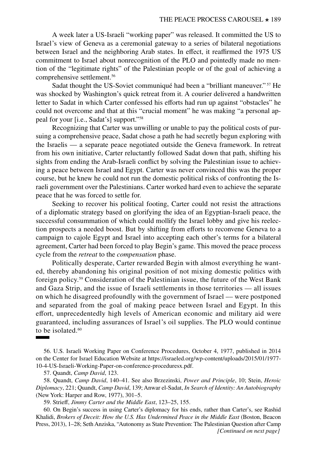A week later a US-Israeli "working paper" was released. It committed the US to Israel's view of Geneva as a ceremonial gateway to a series of bilateral negotiations between Israel and the neighboring Arab states. In effect, it reaffirmed the 1975 US commitment to Israel about nonrecognition of the PLO and pointedly made no mention of the "legitimate rights" of the Palestinian people or of the goal of achieving a comprehensive settlement.<sup>56</sup>

Sadat thought the US-Soviet communiqué had been a "brilliant maneuver." 57 He was shocked by Washington's quick retreat from it. A courier delivered a handwritten letter to Sadat in which Carter confessed his efforts had run up against "obstacles" he could not overcome and that at this "crucial moment" he was making "a personal appeal for your [i.e., Sadat's] support."58

Recognizing that Carter was unwilling or unable to pay the political costs of pursuing a comprehensive peace, Sadat chose a path he had secretly begun exploring with the Israelis — a separate peace negotiated outside the Geneva framework. In retreat from his own initiative, Carter reluctantly followed Sadat down that path, shifting his sights from ending the Arab-Israeli conflict by solving the Palestinian issue to achieving a peace between Israel and Egypt. Carter was never convinced this was the proper course, but he knew he could not run the domestic political risks of confronting the Israeli government over the Palestinians. Carter worked hard even to achieve the separate peace that he was forced to settle for.

Seeking to recover his political footing, Carter could not resist the attractions of a diplomatic strategy based on glorifying the idea of an Egyptian-Israeli peace, the successful consummation of which could mollify the Israel lobby and give his reelection prospects a needed boost. But by shifting from efforts to reconvene Geneva to a campaign to cajole Egypt and Israel into accepting each other's terms for a bilateral agreement, Carter had been forced to play Begin's game. This moved the peace process cycle from the *retreat* to the *compensation* phase.

Politically desperate, Carter rewarded Begin with almost everything he wanted, thereby abandoning his original position of not mixing domestic politics with foreign policy.59 Consideration of the Palestinian issue, the future of the West Bank and Gaza Strip, and the issue of Israeli settlements in those territories — all issues on which he disagreed profoundly with the government of Israel –– were postponed and separated from the goal of making peace between Israel and Egypt. In this effort, unprecedentedly high levels of American economic and military aid were guaranteed, including assurances of Israel's oil supplies. The PLO would continue to be isolated. $60$ 

56. U.S. Israeli Working Paper on Conference Procedures, October 4, 1977, published in 2014 on the Center for Israel Education Website at [https://israeled.org/wp-content/uploads/2015/01/1977-](https://israeled.org/wp-content/uploads/2015/01/1977-10-4-US-Israeli-Working-Paper-on-conference-proceduresx.pdf) [10-4-US-Israeli-Working-Paper-on-conference-proceduresx.pdf.](https://israeled.org/wp-content/uploads/2015/01/1977-10-4-US-Israeli-Working-Paper-on-conference-proceduresx.pdf)

57. Quandt, *Camp David*, 123.

58. Quandt, *Camp David*, 140–41. See also Brzezinski, *Power and Principle*, 10; Stein, *Heroic Diplomacy*, 221; Quandt, *Camp David*, 139; Anwar el-Sadat, *[In Search of Identity: An Autobiography](https://books.google.com/books/about/In_Search_of_Identity.html?id=VHlyAAAAMAAJ)* (New York: Harper and Row, 1977), 301–5.

59. Strieff, *Jimmy Carter and the Middle East*, 123–25, 155.

60. On Begin's success in using Carter's diplomacy for his ends, rather than Carter's, see Rashid Khalidi, *[Brokers of Deceit: How the U.S. Has Undermined Peace in the Middle East](https://www.penguinrandomhouse.com/books/221019/brokers-of-deceit-by-rashid-khalidi/)* (Boston, Beacon Press, 2013), 1–28; Seth Anziska, "Autonomy as State Prevention: The Palestinian Question after Camp *[Continued on next page]*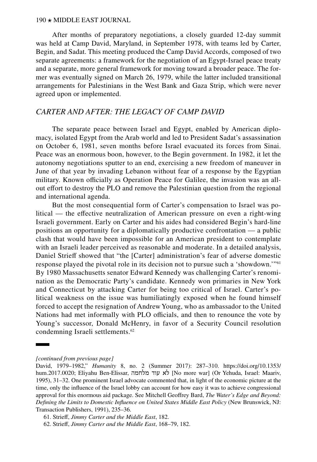After months of preparatory negotiations, a closely guarded 12-day summit was held at Camp David, Maryland, in September 1978, with teams led by Carter, Begin, and Sadat. This meeting produced the Camp David Accords, composed of two separate agreements: a framework for the negotiation of an Egypt-Israel peace treaty and a separate, more general framework for moving toward a broader peace. The former was eventually signed on March 26, 1979, while the latter included transitional arrangements for Palestinians in the West Bank and Gaza Strip, which were never agreed upon or implemented.

# *CARTER AND AFTER: THE LEGACY OF CAMP DAVID*

The separate peace between Israel and Egypt, enabled by American diplomacy, isolated Egypt from the Arab world and led to President Sadat's assassination on October 6, 1981, seven months before Israel evacuated its forces from Sinai. Peace was an enormous boon, however, to the Begin government. In 1982, it let the autonomy negotiations sputter to an end, exercising a new freedom of maneuver in June of that year by invading Lebanon without fear of a response by the Egyptian military. Known officially as Operation Peace for Galilee, the invasion was an allout effort to destroy the PLO and remove the Palestinian question from the regional and international agenda.

But the most consequential form of Carter's compensation to Israel was political — the effective neutralization of American pressure on even a right-wing Israeli government. Early on Carter and his aides had considered Begin's hard-line positions an opportunity for a diplomatically productive confrontation — a public clash that would have been impossible for an American president to contemplate with an Israeli leader perceived as reasonable and moderate. In a detailed analysis, Daniel Strieff showed that "the [Carter] administration's fear of adverse domestic response played the pivotal role in its decision not to pursue such a 'showdown.'"61 By 1980 Massachusetts senator Edward Kennedy was challenging Carter's renomination as the Democratic Party's candidate. Kennedy won primaries in New York and Connecticut by attacking Carter for being too critical of Israel. Carter's political weakness on the issue was humiliatingly exposed when he found himself forced to accept the resignation of Andrew Young, who as ambassador to the United Nations had met informally with PLO officials, and then to renounce the vote by Young's successor, Donald McHenry, in favor of a Security Council resolution condemning Israeli settlements.<sup>62</sup>

*<sup>[</sup>continued from previous page]*

David, 1979–1982," *Humanity* 8, no. 2 (Summer 2017): 287–310. [https://doi.org/10.1353/](https://doi.org/10.1353/hum.2017.0020) [hum.2017.0020;](https://doi.org/10.1353/hum.2017.0020) Eliyahu Ben-Elissar, [מלחמה עוד לא](https://books.google.com/books/about/%D7%9C%D7%90_%D7%A2%D7%95%D7%93_%D7%9E%D7%9C%D7%97%D7%9E%D7%94.html?id=HnpIAAAAMAAJ)] No more war] (Or Yehuda, Israel: Maariv, 1995), 31–32. One prominent Israel advocate commented that, in light of the economic picture at the time, only the influence of the Israel lobby can account for how easy it was to achieve congressional approval for this enormous aid package. See Mitchell Geoffrey Bard, *[The Water's Edge and Beyond:](https://www.routledge.com/The-Waters-Edge-and-Beyond-Defining-the-Limits-to-Domestic-Influence-on/Bard/p/book/9780887383465)  [Defining the Limits to Domestic Influence on United States Middle East Policy](https://www.routledge.com/The-Waters-Edge-and-Beyond-Defining-the-Limits-to-Domestic-Influence-on/Bard/p/book/9780887383465)* (New Brunswick, NJ: Transaction Publishers, 1991), 235–36.

<sup>61.</sup> Strieff, *Jimmy Carter and the Middle East*, 182.

<sup>62.</sup> Strieff, *Jimmy Carter and the Middle East*, 168–79, 182.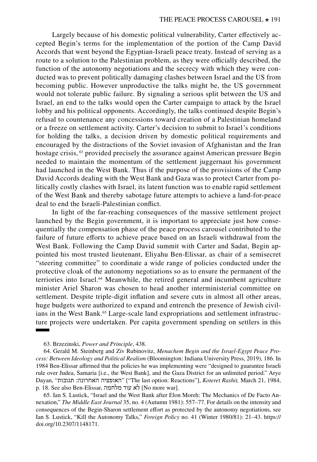Largely because of his domestic political vulnerability, Carter effectively accepted Begin's terms for the implementation of the portion of the Camp David Accords that went beyond the Egyptian-Israeli peace treaty. Instead of serving as a route to a solution to the Palestinian problem, as they were officially described, the function of the autonomy negotiations and the secrecy with which they were conducted was to prevent politically damaging clashes between Israel and the US from becoming public. However unproductive the talks might be, the US government would not tolerate public failure. By signaling a serious split between the US and Israel, an end to the talks would open the Carter campaign to attack by the Israel lobby and his political opponents. Accordingly, the talks continued despite Begin's refusal to countenance any concessions toward creation of a Palestinian homeland or a freeze on settlement activity. Carter's decision to submit to Israel's conditions for holding the talks, a decision driven by domestic political requirements and encouraged by the distractions of the Soviet invasion of Afghanistan and the Iran hostage crisis,  $63$  provided precisely the assurance against American pressure Begin needed to maintain the momentum of the settlement juggernaut his government had launched in the West Bank. Thus if the purpose of the provisions of the Camp David Accords dealing with the West Bank and Gaza was to protect Carter from politically costly clashes with Israel, its latent function was to enable rapid settlement of the West Bank and thereby sabotage future attempts to achieve a land-for-peace deal to end the Israeli-Palestinian conflict.

In light of the far-reaching consequences of the massive settlement project launched by the Begin government, it is important to appreciate just how consequentially the compensation phase of the peace process carousel contributed to the failure of future efforts to achieve peace based on an Israeli withdrawal from the West Bank. Following the Camp David summit with Carter and Sadat, Begin appointed his most trusted lieutenant, Eliyahu Ben-Elissar, as chair of a semisecret "steering committee" to coordinate a wide range of policies conducted under the protective cloak of the autonomy negotiations so as to ensure the permanent of the terriories into Israel.64 Meanwhile, the retired general and incumbent agriculture minister Ariel Sharon was chosen to head another interministerial committee on settlement. Despite triple-digit inflation and severe cuts in almost all other areas, huge budgets were authorized to expand and entrench the presence of Jewish civilians in the West Bank.<sup>65</sup> Large-scale land expropriations and settlement infrastructure projects were undertaken. Per capita government spending on settlers in this

64. Gerald M. Steinberg and Ziv Rubinovitz, *[Menachem Begin and the Israel-Egypt Peace Pro](https://iupress.org/9780253039521/menachem-begin-and-the-israel-egypt-peace-process/)[cess: Between Ideology and Political Realism](https://iupress.org/9780253039521/menachem-begin-and-the-israel-egypt-peace-process/)* (Bloomington: Indiana University Press, 2019), 186. In 1984 Ben-Elissar affirmed that the policies he was implementing were "designed to guarantee Israeli rule over Judea, Samaria [i.e., the West Bank], and the Gaza District for an unlimited period." Arye Dayan, "תגובות :האחרונה האופציה"] "The last option: Reactions"], *Koteret Rashit,* March 21, 1984, p. 18. See also Ben-Elissar, מלחמה עוד לא] No more war].

65. Ian S. Lustick, "[Israel and the West Bank after Elon Moreh: The Mechanics of De Facto An](http://www.jstor.org/stable/4326305)[nexation,](http://www.jstor.org/stable/4326305)" *The Middle East Journal* 35, no. 4 (Autumn 1981): 557–77. For details on the intensity and consequences of the Begin-Sharon settlement effort as protected by the autonomy negotiations, see Ian S. Lustick, "Kill the Autonomy Talks," *Foreign Policy* no. 41 (Winter 1980/81): 21–43. [https://](https://doi.org/10.2307/1148171) [doi.org/10.2307/1148171](https://doi.org/10.2307/1148171).

<sup>63.</sup> Brzezinski, *Power and Principle*, 438.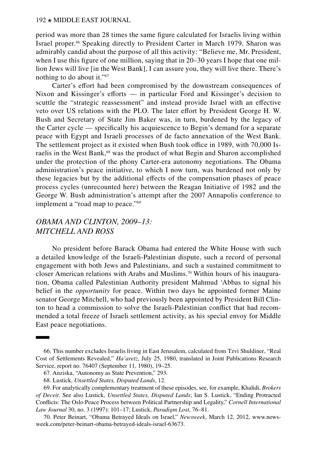period was more than 28 times the same figure calculated for Israelis living within Israel proper.66 Speaking directly to President Carter in March 1979, Sharon was admirably candid about the purpose of all this activity: "Believe me, Mr. President, when I use this figure of one million, saying that in 20–30 years I hope that one million Jews will live [in the West Bank], I can assure you, they will live there. There's nothing to do about it."67

Carter's effort had been compromised by the downstream consequences of Nixon and Kissinger's efforts — in particular Ford and Kissinger's decision to scuttle the "strategic reassessment" and instead provide Israel with an effective veto over US relations with the PLO. The later effort by President George H. W. Bush and Secretary of State Jim Baker was, in turn, burdened by the legacy of the Carter cycle — specifically his acquiescence to Begin's demand for a separate peace with Egypt and Israeli processes of de facto annexation of the West Bank. The settlement project as it existed when Bush took office in 1989, with 70,000 Israelis in the West Bank, $68$  was the product of what Begin and Sharon accomplished under the protection of the phony Carter-era autonomy negotiations. The Obama administration's peace initiative, to which I now turn, was burdened not only by these legacies but by the additional effects of the compensation phases of peace process cycles (unrecounted here) between the Reagan Initiative of 1982 and the George W. Bush administration's attempt after the 2007 Annapolis conference to implement a "road map to peace."<sup>69</sup>

# *OBAMA AND CLINTON, 2009–13: MITCHELL AND ROSS*

No president before Barack Obama had entered the White House with such a detailed knowledge of the Israeli-Palestinian dispute, such a record of personal engagement with both Jews and Palestinians, and such a sustained commitment to closer American relations with Arabs and Muslims.<sup>70</sup> Within hours of his inauguration, Obama called Palestinian Authority president Mahmud 'Abbas to signal his belief in the *opportunity* for peace. Within two days he appointed former Maine senator George Mitchell, who had previously been appointed by President Bill Clinton to head a commission to solve the Israeli-Palestinian conflict that had recommended a total freeze of Israeli settlement activity, as his special envoy for Middle East peace negotiations.

<sup>66.</sup> This number excludes Israelis living in East Jerusalem, calculated from Tzvi Shuldiner, "Real Cost of Settlements Revealed," *Ha'aretz*, July 25, 1980, translated in Joint Publications Research Service, report no. 76407 (September 11, 1980), 19–25.

<sup>67.</sup> Anziska, "Autonomy as State Prevention," 293.

<sup>68.</sup> Lustick, *Unsettled States, Disputed Lands*, 12.

<sup>69.</sup> For analytically complementary treatment of these episodes, see, for example, Khalidi, *Brokers of Deceit*. See also Lustick, *Unsettled States, Disputed Lands*; Ian S. Lustick, "[Ending Protracted](https://scholarship.law.cornell.edu/cilj/vol30/iss3/7/)  [Conflicts: The Oslo Peace Process between Political Partnership and Legality,](https://scholarship.law.cornell.edu/cilj/vol30/iss3/7/)" *Cornell International Law Journal* 30, no. 3 (1997): 101–17; Lustick, *Paradigm Lost*, 76–81.

<sup>70.</sup> Peter Beinart, "Obama Betrayed Ideals on Israel," *Newsweek*, March 12, 2012, [www.news](http://www.newsweek.com/peter-beinart-obama-betrayed-ideals-israel-63673)[week.com/peter-beinart-obama-betrayed-ideals-israel-63673.](http://www.newsweek.com/peter-beinart-obama-betrayed-ideals-israel-63673)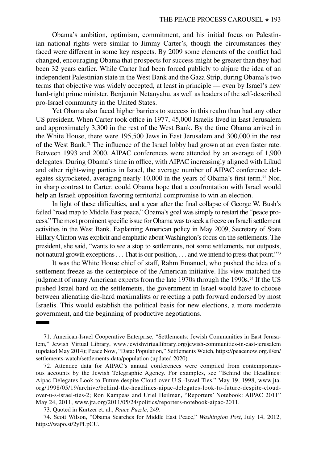Obama's ambition, optimism, commitment, and his initial focus on Palestinian national rights were similar to Jimmy Carter's, though the circumstances they faced were different in some key respects. By 2009 some elements of the conflict had changed, encouraging Obama that prospects for success might be greater than they had been 32 years earlier. While Carter had been forced publicly to abjure the idea of an independent Palestinian state in the West Bank and the Gaza Strip, during Obama's two terms that objective was widely accepted, at least in principle — even by Israel's new hard-right prime minister, Benjamin Netanyahu, as well as leaders of the self-described pro-Israel community in the United States.

Yet Obama also faced higher barriers to success in this realm than had any other US president. When Carter took office in 1977, 45,000 Israelis lived in East Jerusalem and approximately 3,300 in the rest of the West Bank. By the time Obama arrived in the White House, there were 195,500 Jews in East Jerusalem and 300,000 in the rest of the West Bank.71 The influence of the Israel lobby had grown at an even faster rate. Between 1993 and 2000, AIPAC conferences were attended by an average of 1,900 delegates. During Obama's time in office, with AIPAC increasingly aligned with Likud and other right-wing parties in Israel, the average number of AIPAC conference delegates skyrocketed, averaging nearly  $10,000$  in the years of Obama's first term.<sup>72</sup> Nor, in sharp contrast to Carter, could Obama hope that a confrontation with Israel would help an Israeli opposition favoring territorial compromise to win an election.

In light of these difficulties, and a year after the final collapse of George W. Bush's failed "road map to Middle East peace," Obama's goal was simply to restart the "peace process." The most prominent specific issue for Obama was to seek a freeze on Israeli settlement activities in the West Bank. Explaining American policy in May 2009, Secretary of State Hillary Clinton was explicit and emphatic about Washington's focus on the settlements. The president, she said, "wants to see a stop to settlements, not some settlements, not outposts, not natural growth exceptions . . . That is our position, . . . and we intend to press that point."73

It was the White House chief of staff, Rahm Emanuel, who pushed the idea of a settlement freeze as the centerpiece of the American initiative. His view matched the judgment of many American experts from the late 1970s through the 1990s.<sup>74</sup> If the US pushed Israel hard on the settlements, the government in Israel would have to choose between alienating die-hard maximalists or rejecting a path forward endorsed by most Israelis. This would establish the political basis for new elections, a more moderate government, and the beginning of productive negotiations.

72. Attendee data for AIPAC's annual conferences were compiled from contemporaneous accounts by the Jewish Telegraphic Agency. For examples, see "Behind the Headlines: Aipac Delegates Look to Future despite Cloud over U.S.-Israel Ties," May 19, 1998, [www.jta.](http://www.jta.org/1998/05/19/archive/behind-the-headlines-aipac-delegates-look-to-future-despite-cloud-over-u-s-israel-ties-2) [org/1998/05/19/archive/behind-the-headlines-aipac-delegates-look-to-future-despite-cloud](http://www.jta.org/1998/05/19/archive/behind-the-headlines-aipac-delegates-look-to-future-despite-cloud-over-u-s-israel-ties-2)[over-u-s-israel-ties-2;](http://www.jta.org/1998/05/19/archive/behind-the-headlines-aipac-delegates-look-to-future-despite-cloud-over-u-s-israel-ties-2) Ron Kampeas and Uriel Heilman, "Reporters' Notebook: AIPAC 2011" May 24, 2011, [www.jta.org/2011/05/24/politics/reporters-notebook-aipac-2011.](http://www.jta.org/2011/05/24/politics/reporters-notebook-aipac-2011)

73. Quoted in Kurtzer et. al., *Peace Puzzle*, 249.

74. Scott Wilson, "Obama Searches for Middle East Peace," *Washington Post*, July 14, 2012, [https://wapo.st/2yPLpCU.](https://wapo.st/2yPLpCU)

<sup>71.</sup> American-Israel Cooperative Enterprise, "Settlements: Jewish Communities in East Jerusalem," Jewish Virtual Library, [www.jewishvirtuallibrary.org/jewish-communities-in-east-jerusalem](http://www.jewishvirtuallibrary.org/jewish-communities-in-east-jerusalem) (updated May 2014); Peace Now, "Data: Population," Settlements Watch, [https://peacenow.org.il/en/](https://peacenow.org.il/en/settlements-watch/settlements-data/population) [settlements-watch/settlements-data/population](https://peacenow.org.il/en/settlements-watch/settlements-data/population) (updated 2020).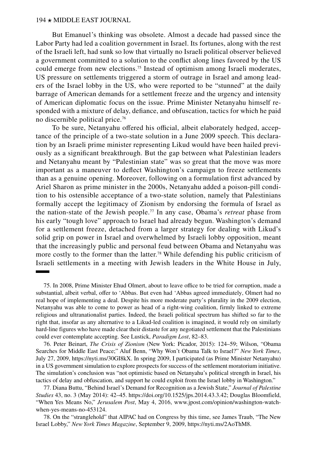But Emanuel's thinking was obsolete. Almost a decade had passed since the Labor Party had led a coalition government in Israel. Its fortunes, along with the rest of the Israeli left, had sunk so low that virtually no Israeli political observer believed a government committed to a solution to the conflict along lines favored by the US could emerge from new elections.75 Instead of optimism among Israeli moderates, US pressure on settlements triggered a storm of outrage in Israel and among leaders of the Israel lobby in the US, who were reported to be "stunned" at the daily barrage of American demands for a settlement freeze and the urgency and intensity of American diplomatic focus on the issue. Prime Minister Netanyahu himself responded with a mixture of delay, defiance, and obfuscation, tactics for which he paid no discernible political price.76

To be sure, Netanyahu offered his official, albeit elaborately hedged, acceptance of the principle of a two-state solution in a June 2009 speech. This declaration by an Israeli prime minister representing Likud would have been hailed previously as a significant breakthrough. But the gap between what Palestinian leaders and Netanyahu meant by "Palestinian state" was so great that the move was more important as a maneuver to deflect Washington's campaign to freeze settlements than as a genuine opening. Moreover, following on a formulation first advanced by Ariel Sharon as prime minister in the 2000s, Netanyahu added a poison-pill condition to his ostensible acceptance of a two-state solution, namely that Palestinians formally accept the legitimacy of Zionism by endorsing the formula of Israel as the nation-state of the Jewish people.77 In any case, Obama's *retreat* phase from his early "tough love" approach to Israel had already begun. Washington's demand for a settlement freeze, detached from a larger strategy for dealing with Likud's solid grip on power in Israel and overwhelmed by Israeli lobby opposition, meant that the increasingly public and personal feud between Obama and Netanyahu was more costly to the former than the latter.<sup>78</sup> While defending his public criticism of Israeli settlements in a meeting with Jewish leaders in the White House in July,

<sup>75.</sup> In 2008, Prime Minister Ehud Olmert, about to leave office to be tried for corruption, made a substantial, albeit verbal, offer to 'Abbas. But even had 'Abbas agreed immediately, Olmert had no real hope of implementing a deal. Despite his more moderate party's plurality in the 2009 election, Netanyahu was able to come to power as head of a right-wing coalition, firmly linked to extreme religious and ultranationalist parties. Indeed, the Israeli political spectrum has shifted so far to the right that, insofar as any alternative to a Likud-led coalition is imagined, it would rely on similarly hard-line figures who have made clear their distaste for any negotiated settlement that the Palestinians could ever contemplate accepting. See Lustick, *Paradigm Lost*, 82–83.

<sup>76.</sup> Peter Beinart, *[The Crisis of Zionism](https://us.macmillan.com/books/9781250026736)* (New York: Picador, 2015): 124–59; Wilson, "Obama Searches for Middle East Peace;" Aluf Benn, "Why Won't Obama Talk to Israel?" *New York Times*, July 27, 2009,<https://nyti.ms/30GI8kX>. In spring 2009, I participated (as Prime Minister Netanyahu) in a US government simulation to explore prospects for success of the settlement moratorium initiative. The simulation's conclusion was "not optimistic based on Netanyahu's political strength in Israel, his tactics of delay and obfuscation, and support he could exploit from the Israel lobby in Washington."

<sup>77.</sup> Diana Buttu, "Behind Israel's Demand for Recognition as a Jewish State," *Journal of Palestine Studies* 43, no. 3 (May 2014): 42–45. [https://doi.org/10.1525/jps.2014.43.3.42;](https://doi.org/10.1525/jps.2014.43.3.42) Douglas Bloomfield, "When Yes Means No," *Jerusalem Post*, May 4, 2016, [www.jpost.com/opinion/washington-watch](http://www.jpost.com/opinion/washington-watch-when-yes-means-no-453124)[when-yes-means-no-453124](http://www.jpost.com/opinion/washington-watch-when-yes-means-no-453124).

<sup>78.</sup> On the "stranglehold" that AIPAC had on Congress by this time, see James Traub, "The New Israel Lobby," *New York Times Magazine*, September 9, 2009,<https://nyti.ms/2AoThM8>.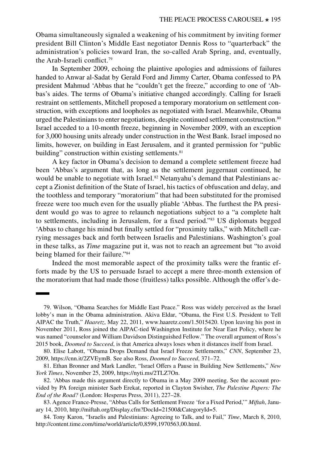Obama simultaneously signaled a weakening of his commitment by inviting former president Bill Clinton's Middle East negotiator Dennis Ross to "quarterback" the administration's policies toward Iran, the so-called Arab Spring, and, eventually, the Arab-Israeli conflict.79

In September 2009, echoing the plaintive apologies and admissions of failures handed to Anwar al-Sadat by Gerald Ford and Jimmy Carter, Obama confessed to PA president Mahmud 'Abbas that he "couldn't get the freeze," according to one of 'Abbas's aides. The terms of Obama's initiative changed accordingly. Calling for Israeli restraint on settlements, Mitchell proposed a temporary moratorium on settlement construction, with exceptions and loopholes as negotiated with Israel. Meanwhile, Obama urged the Palestinians to enter negotiations, despite continued settlement construction.80 Israel acceded to a 10-month freeze, beginning in November 2009, with an exception for 3,000 housing units already under construction in the West Bank. Israel imposed no limits, however, on building in East Jerusalem, and it granted permission for "public building" construction within existing settlements.<sup>81</sup>

A key factor in Obama's decision to demand a complete settlement freeze had been 'Abbas's argument that, as long as the settlement juggernaut continued, he would be unable to negotiate with Israel.<sup>82</sup> Netanyahu's demand that Palestinians accept a Zionist definition of the State of Israel, his tactics of obfuscation and delay, and the toothless and temporary "moratorium" that had been substituted for the promised freeze were too much even for the usually pliable 'Abbas. The furthest the PA president would go was to agree to relaunch negotiations subject to a "a complete halt to settlements, including in Jerusalem, for a fixed period."83 US diplomats begged 'Abbas to change his mind but finally settled for "proximity talks," with Mitchell carrying messages back and forth between Israelis and Palestinians. Washington's goal in these talks, as *Time* magazine put it, was not to reach an agreement but "to avoid being blamed for their failure."<sup>84</sup>

Indeed the most memorable aspect of the proximity talks were the frantic efforts made by the US to persuade Israel to accept a mere three-month extension of the moratorium that had made those (fruitless) talks possible. Although the offer's de-

<sup>79.</sup> Wilson, "Obama Searches for Middle East Peace." Ross was widely perceived as the Israel lobby's man in the Obama administration. Akiva Eldar, "Obama, the First U.S. President to Tell AIPAC the Truth," *Haaretz*, May 22, 2011, [www.haaretz.com/1.5015420.](http://www.haaretz.com/1.5015420) Upon leaving his post in November 2011, Ross joined the AIPAC-tied Washington Institute for Near East Policy, where he was named "counselor and William Davidson Distinguished Fellow." The overall argument of Ross's 2015 book, *Doomed to Succeed*, is that America always loses when it distances itself from Israel.

<sup>80.</sup> Elise Labott, "Obama Drops Demand that Israel Freeze Settlements," *CNN*, September 23, 2009, [https://cnn.it/2ZVEymB.](https://cnn.it/2ZVEymB) See also Ross, *Doomed to Succeed*, 371–72.

<sup>81.</sup> Ethan Bronner and Mark Landler, "Israel Offers a Pause in Building New Settlements," *New York Times*, November 25, 2009, <https://nyti.ms/2TLZ7On>.

<sup>82. &#</sup>x27;Abbas made this argument directly to Obama in a May 2009 meeting. See the account provided by PA foreign minister Saeb Erekat, reported in Clayton Swisher, *[The Palestine Papers: The](https://hesperus.press/products/the-palestine-papers-the-end-of-the-road-pb) [End of the Road?](https://hesperus.press/products/the-palestine-papers-the-end-of-the-road-pb)* (London: Hesperus Press, 2011), 227–28.

<sup>83.</sup> Agence France-Presse, "Abbas Calls for Settlement Freeze 'for a Fixed Period,'" *Miftah*, January 14, 2010, [http://miftah.org/Display.cfm?DocId=21500&CategoryId=5.](http://miftah.org/Display.cfm?DocId=21500&CategoryId=5)

<sup>84.</sup> Tony Karon, "Israelis and Palestinians: Agreeing to Talk, and to Fail," *Time*, March 8, 2010, [http://content.time.com/time/world/article/0,8599,1970563,00.html.](http://content.time.com/time/world/article/0,8599,1970563,00.html)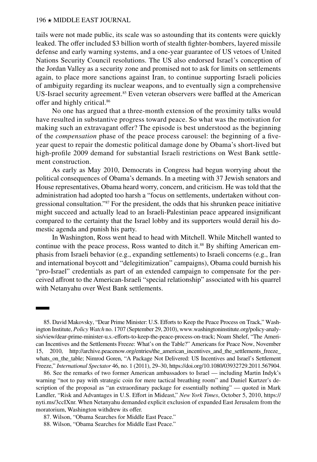tails were not made public, its scale was so astounding that its contents were quickly leaked. The offer included \$3 billion worth of stealth fighter-bombers, layered missile defense and early warning systems, and a one-year guarantee of US vetoes of United Nations Security Council resolutions. The US also endorsed Israel's conception of the Jordan Valley as a security zone and promised not to ask for limits on settlements again, to place more sanctions against Iran, to continue supporting Israeli policies of ambiguity regarding its nuclear weapons, and to eventually sign a comprehensive US-Israel security agreement.<sup>85</sup> Even veteran observers were baffled at the American offer and highly critical.86

No one has argued that a three-month extension of the proximity talks would have resulted in substantive progress toward peace. So what was the motivation for making such an extravagant offer? The episode is best understood as the beginning of the *compensation* phase of the peace process carousel: the beginning of a fiveyear quest to repair the domestic political damage done by Obama's short-lived but high-profile 2009 demand for substantial Israeli restrictions on West Bank settlement construction.

As early as May 2010, Democrats in Congress had begun worrying about the political consequences of Obama's demands. In a meeting with 37 Jewish senators and House representatives, Obama heard worry, concern, and criticism. He was told that the administration had adopted too harsh a "focus on settlements, undertaken without congressional consultation."87 For the president, the odds that his shrunken peace initiative might succeed and actually lead to an Israeli-Palestinian peace appeared insignificant compared to the certainty that the Israel lobby and its supporters would derail his domestic agenda and punish his party.

In Washington, Ross went head to head with Mitchell. While Mitchell wanted to continue with the peace process, Ross wanted to ditch it.<sup>88</sup> By shifting American emphasis from Israeli behavior (e.g., expanding settlements) to Israeli concerns (e.g., Iran and international boycott and "delegitimization" campaigns), Obama could burnish his "pro-Israel" credentials as part of an extended campaign to compensate for the perceived affront to the American-Israeli "special relationship" associated with his quarrel with Netanyahu over West Bank settlements.

85. David Makovsky, "Dear Prime Minister: U.S. Efforts to Keep the Peace Process on Track," Washington Institute, *Policy Watch* no. 1707 (September 29, 2010), [www.washingtoninstitute.org/policy-analy](http://www.washingtoninstitute.org/policy-analysis/view/dear-prime-minister-u.s.-efforts-to-keep-the-peace-process-on-track)[sis/view/dear-prime-minister-u.s.-efforts-to-keep-the-peace-process-on-track](http://www.washingtoninstitute.org/policy-analysis/view/dear-prime-minister-u.s.-efforts-to-keep-the-peace-process-on-track); Noam Shelef, "The American Incentives and the Settlements Freeze: What's on the Table?" Americans for Peace Now, November 15, 2010, [http://archive.peacenow.org/entries/the\\_american\\_incentives\\_and\\_the\\_settlements\\_freeze\\_](http://archive.peacenow.org/entries/the_american_incentives_and_the_settlements_freeze_whats_on_the_table) [whats\\_on\\_the\\_table;](http://archive.peacenow.org/entries/the_american_incentives_and_the_settlements_freeze_whats_on_the_table) Nimrod Goren, "A Package Not Delivered: US Incentives and Israel's Settlement Freeze," *International Spectator* 46, no. 1 (2011), 29–30, [https://doi.org/10.1080/03932729.2011.567904.](https://doi.org/10.1080/03932729.2011.567904)

86. See the remarks of two former American ambassadors to Israel — including Martin Indyk's warning "not to pay with strategic coin for mere tactical breathing room" and Daniel Kurtzer's description of the proposal as "an extraordinary package for essentially nothing" — quoted in Mark Landler, "Risk and Advantages in U.S. Effort in Mideast," *New York Times*, October 5, 2010, [https://](https://nyti.ms/3ccIXnr) [nyti.ms/3ccIXnr](https://nyti.ms/3ccIXnr). When Netanyahu demanded explicit exclusion of expanded East Jerusalem from the moratorium, Washington withdrew its offer.

87. Wilson, "Obama Searches for Middle East Peace."

88. Wilson, "Obama Searches for Middle East Peace."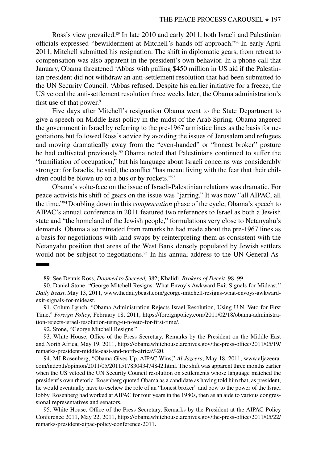Ross's view prevailed.<sup>89</sup> In late 2010 and early 2011, both Israeli and Palestinian officials expressed "bewilderment at Mitchell's hands-off approach."90 In early April 2011, Mitchell submitted his resignation. The shift in diplomatic gears, from retreat to compensation was also apparent in the president's own behavior. In a phone call that January, Obama threatened 'Abbas with pulling \$450 million in US aid if the Palestinian president did not withdraw an anti-settlement resolution that had been submitted to the UN Security Council. 'Abbas refused. Despite his earlier initiative for a freeze, the US vetoed the anti-settlement resolution three weeks later; the Obama administration's first use of that power. $91$ 

Five days after Mitchell's resignation Obama went to the State Department to give a speech on Middle East policy in the midst of the Arab Spring. Obama angered the government in Israel by referring to the pre-1967 armistice lines as the basis for negotiations but followed Ross's advice by avoiding the issues of Jerusalem and refugees and moving dramatically away from the "even-handed" or "honest broker" posture he had cultivated previously.<sup>92</sup> Obama noted that Palestinians continued to suffer the "humiliation of occupation," but his language about Israeli concerns was considerably stronger: for Israelis, he said, the conflict "has meant living with the fear that their children could be blown up on a bus or by rockets."93

Obama's volte-face on the issue of Israeli-Palestinian relations was dramatic. For peace activists his shift of gears on the issue was "jarring." It was now "all AIPAC, all the time."94Doubling down in this *compensation* phase of the cycle, Obama's speech to AIPAC's annual conference in 2011 featured two references to Israel as both a Jewish state and "the homeland of the Jewish people," formulations very close to Netanyahu's demands. Obama also retreated from remarks he had made about the pre-1967 lines as a basis for negotiations with land swaps by reinterpreting them as consistent with the Netanyahu position that areas of the West Bank densely populated by Jewish settlers would not be subject to negotiations.<sup>95</sup> In his annual address to the UN General As-

89. See Dennis Ross, *Doomed to Succeed,* 382; Khalidi, *Brokers of Deceit*, 98–99.

90. Daniel Stone, "George Mitchell Resigns: What Envoy's Awkward Exit Signals for Mideast," *Daily Beast*, May 13, 2011, [www.thedailybeast.com/george-mitchell-resigns-what-envoys-awkward](http://www.thedailybeast.com/george-mitchell-resigns-what-envoys-awkward-exit-signals-for-mideast)[exit-signals-for-mideast.](http://www.thedailybeast.com/george-mitchell-resigns-what-envoys-awkward-exit-signals-for-mideast)

91. Colum Lynch, "Obama Administration Rejects Israel Resolution, Using U.N. Veto for First Time," *Foreign Policy*, February 18, 2011, [https://foreignpolicy.com/2011/02/18/obama-administra](https://foreignpolicy.com/2011/02/18/obama-administration-rejects-israel-resolution-using-u-n-veto-for-first-time/)[tion-rejects-israel-resolution-using-u-n-veto-for-first-time/.](https://foreignpolicy.com/2011/02/18/obama-administration-rejects-israel-resolution-using-u-n-veto-for-first-time/)

92. Stone, "George Mitchell Resigns."

93. White House, Office of the Press Secretary, Remarks by the President on the Middle East and North Africa, May 19, 2011, [https://obamawhitehouse.archives.gov/the-press-office/2011/05/19/](https://obamawhitehouse.archives.gov/the-press-office/2011/05/19/remarks-president-middle-east-and-north-africa%20) [remarks-president-middle-east-and-north-africa%20.](https://obamawhitehouse.archives.gov/the-press-office/2011/05/19/remarks-president-middle-east-and-north-africa%20)

94. MJ Rosenberg, "Obama Gives Up, AIPAC Wins," *Al Jazeera*, May 18, 2011, [www.aljazeera.](http://www.aljazeera.com/indepth/opinion/2011/05/201151783043474842.html) [com/indepth/opinion/2011/05/201151783043474842.html.](http://www.aljazeera.com/indepth/opinion/2011/05/201151783043474842.html) The shift was apparent three months earlier when the US vetoed the UN Security Council resolution on settlements whose language matched the president's own rhetoric. Rosenberg quoted Obama as a candidate as having told him that, as president, he would eventually have to eschew the role of an "honest broker" and bow to the power of the Israel lobby. Rosenberg had worked at AIPAC for four years in the 1980s, then as an aide to various congressional representatives and senators.

95. White House, Office of the Press Secretary, Remarks by the President at the AIPAC Policy Conference 2011, May 22, 2011, [https://obamawhitehouse.archives.gov/the-press-office/2011/05/22/](https://obamawhitehouse.archives.gov/the-press-office/2011/05/22/remarks-president-aipac-policy-conference-2011) [remarks-president-aipac-policy-conference-2011.](https://obamawhitehouse.archives.gov/the-press-office/2011/05/22/remarks-president-aipac-policy-conference-2011)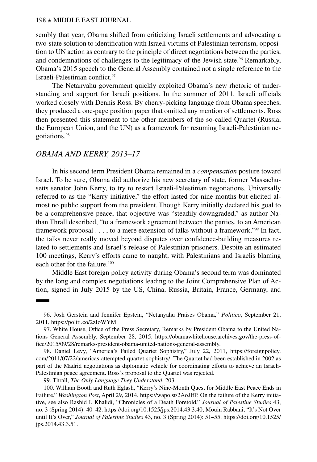sembly that year, Obama shifted from criticizing Israeli settlements and advocating a two-state solution to identification with Israeli victims of Palestinian terrorism, opposition to UN action as contrary to the principle of direct negotiations between the parties, and condemnations of challenges to the legitimacy of the Jewish state.<sup>96</sup> Remarkably, Obama's 2015 speech to the General Assembly contained not a single reference to the Israeli-Palestinian conflict.97

The Netanyahu government quickly exploited Obama's new rhetoric of understanding and support for Israeli positions. In the summer of 2011, Israeli officials worked closely with Dennis Ross. By cherry-picking language from Obama speeches, they produced a one-page position paper that omitted any mention of settlements. Ross then presented this statement to the other members of the so-called Quartet (Russia, the European Union, and the UN) as a framework for resuming Israeli-Palestinian negotiations.98

### *OBAMA AND KERRY, 2013–17*

In his second term President Obama remained in a *compensation* posture toward Israel. To be sure, Obama did authorize his new secretary of state, former Massachusetts senator John Kerry, to try to restart Israeli-Palestinian negotiations. Universally referred to as the "Kerry initiative," the effort lasted for nine months but elicited almost no public support from the president. Though Kerry initially declared his goal to be a comprehensive peace, that objective was "steadily downgraded," as author Nathan Thrall described, "to a framework agreement between the parties, to an American framework proposal . . . , to a mere extension of talks without a framework."99 In fact, the talks never really moved beyond disputes over confidence-building measures related to settlements and Israel's release of Palestinian prisoners. Despite an estimated 100 meetings, Kerry's efforts came to naught, with Palestinians and Israelis blaming each other for the failure.<sup>100</sup>

Middle East foreign policy activity during Obama's second term was dominated by the long and complex negotiations leading to the Joint Comprehensive Plan of Action, signed in July 2015 by the US, China, Russia, Britain, France, Germany, and

<sup>96.</sup> Josh Gerstein and Jennifer Epstein, "Netanyahu Praises Obama," *Politico*, September 21, 2011, [https://politi.co/2zIoWYM.](https://politi.co/2zIoWYM)

<sup>97.</sup> White House, Office of the Press Secretary, Remarks by President Obama to the United Nations General Assembly, September 28, 2015, [https://obamawhitehouse.archives.gov/the-press-of](https://obamawhitehouse.archives.gov/the-press-office/2015/09/28/remarks-president-obama-united-nations-general-assembly)[fice/2015/09/28/remarks-president-obama-united-nations-general-assembly.](https://obamawhitehouse.archives.gov/the-press-office/2015/09/28/remarks-president-obama-united-nations-general-assembly)

<sup>98.</sup> Daniel Levy, "America's Failed Quartet Sophistry," July 22, 2011, [https://foreignpolicy.](https://foreignpolicy.com/2011/07/22/americas-attempted-quartet-sophistry/) [com/2011/07/22/americas-attempted-quartet-sophistry/](https://foreignpolicy.com/2011/07/22/americas-attempted-quartet-sophistry/). The Quartet had been established in 2002 as part of the Madrid negotiations as diplomatic vehicle for coordinating efforts to achieve an Israeli-Palestinian peace agreement. Ross's proposal to the Quartet was rejected.

<sup>99.</sup> Thrall, *The Only Language They Understand*, 203.

<sup>100.</sup> William Booth and Ruth Eglash, "Kerry's Nine-Month Quest for Middle East Peace Ends in Failure," *Washington Post*, April 29, 2014, <https://wapo.st/2AoJIfP>. On the failure of the Kerry initiative, see also Rashid I. Khalidi, "Chronicles of a Death Foretold," *Journal of Palestine Studies* 43, no. 3 (Spring 2014): 40–42.<https://doi.org/10.1525/jps.2014.43.3.40>; Mouin Rabbani, "It's Not Over until It's Over," *Journal of Palestine Studies* 43, no. 3 (Spring 2014): 51–55. [https://doi.org/10.1525/](https://doi.org/10.1525/jps.2014.43.3.51) [jps.2014.43.3.51](https://doi.org/10.1525/jps.2014.43.3.51).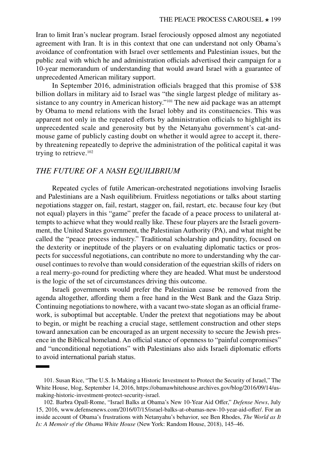Iran to limit Iran's nuclear program. Israel ferociously opposed almost any negotiated agreement with Iran. It is in this context that one can understand not only Obama's avoidance of confrontation with Israel over settlements and Palestinian issues, but the public zeal with which he and administration officials advertised their campaign for a 10-year memorandum of understanding that would award Israel with a guarantee of unprecedented American military support.

In September 2016, administration officials bragged that this promise of \$38 billion dollars in military aid to Israel was "the single largest pledge of military assistance to any country in American history."<sup>101</sup> The new aid package was an attempt by Obama to mend relations with the Israel lobby and its constituencies. This was apparent not only in the repeated efforts by administration officials to highlight its unprecedented scale and generosity but by the Netanyahu government's cat-andmouse game of publicly casting doubt on whether it would agree to accept it, thereby threatening repeatedly to deprive the administration of the political capital it was trying to retrieve. $102$ 

#### *THE FUTURE OF A NASH EQUILIBRIUM*

Repeated cycles of futile American-orchestrated negotiations involving Israelis and Palestinians are a Nash equilibrium. Fruitless negotiations or talks about starting negotiations stagger on, fail, restart, stagger on, fail, restart, etc. because four key (but not equal) players in this "game" prefer the facade of a peace process to unilateral attempts to achieve what they would really like. These four players are the Israeli government, the United States government, the Palestinian Authority (PA), and what might be called the "peace process industry." Traditional scholarship and punditry, focused on the dexterity or ineptitude of the players or on evaluating diplomatic tactics or prospects for successful negotiations, can contribute no more to understanding why the carousel continues to revolve than would consideration of the equestrian skills of riders on a real merry-go-round for predicting where they are headed. What must be understood is the logic of the set of circumstances driving this outcome.

Israeli governments would prefer the Palestinian cause be removed from the agenda altogether, affording them a free hand in the West Bank and the Gaza Strip. Continuing negotiations to nowhere, with a vacant two-state slogan as an official framework, is suboptimal but acceptable. Under the pretext that negotiations may be about to begin, or might be reaching a crucial stage, settlement construction and other steps toward annexation can be encouraged as an urgent necessity to secure the Jewish presence in the Biblical homeland. An official stance of openness to "painful compromises" and "unconditional negotiations" with Palestinians also aids Israeli diplomatic efforts to avoid international pariah status.

<sup>101.</sup> Susan Rice, "The U.S. Is Making a Historic Investment to Protect the Security of Israel," The White House, blog, September 14, 2016, [https://obamawhitehouse.archives.gov/blog/2016/09/14/us](https://obamawhitehouse.archives.gov/blog/2016/09/14/us-making-historic-investment-protect-security-israel)[making-historic-investment-protect-security-israel](https://obamawhitehouse.archives.gov/blog/2016/09/14/us-making-historic-investment-protect-security-israel).

<sup>102.</sup> Barbra Opall-Rome, "Israel Balks at Obama's New 10-Year Aid Offer," *Defense News*, July 15, 2016, [www.defensenews.com/2016/07/15/israel-balks-at-obamas-new-10-year-aid-offer/](http://www.defensenews.com/2016/07/15/israel-balks-at-obamas-new-10-year-aid-offer/). For an inside account of Obama's frustrations with Netanyahu's behavior, see Ben Rhodes, *[The World as It](https://www.penguinrandomhouse.com/books/564509/the-world-as-it-is-by-ben-rhodes/) [Is: A Memoir of the Obama White House](https://www.penguinrandomhouse.com/books/564509/the-world-as-it-is-by-ben-rhodes/)* (New York: Random House, 2018), 145–46.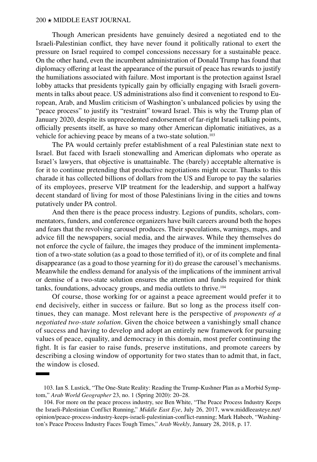Though American presidents have genuinely desired a negotiated end to the Israeli-Palestinian conflict, they have never found it politically rational to exert the pressure on Israel required to compel concessions necessary for a sustainable peace. On the other hand, even the incumbent administration of Donald Trump has found that diplomacy offering at least the appearance of the pursuit of peace has rewards to justify the humiliations associated with failure. Most important is the protection against Israel lobby attacks that presidents typically gain by officially engaging with Israeli governments in talks about peace. US administrations also find it convenient to respond to European, Arab, and Muslim criticism of Washington's unbalanced policies by using the "peace process" to justify its "restraint" toward Israel. This is why the Trump plan of January 2020, despite its unprecedented endorsement of far-right Israeli talking points, officially presents itself, as have so many other American diplomatic initiatives, as a vehicle for achieving peace by means of a two-state solution.<sup>103</sup>

The PA would certainly prefer establishment of a real Palestinian state next to Israel. But faced with Israeli stonewalling and American diplomats who operate as Israel's lawyers, that objective is unattainable. The (barely) acceptable alternative is for it to continue pretending that productive negotiations might occur. Thanks to this charade it has collected billions of dollars from the US and Europe to pay the salaries of its employees, preserve VIP treatment for the leadership, and support a halfway decent standard of living for most of those Palestinians living in the cities and towns putatively under PA control.

And then there is the peace process industry. Legions of pundits, scholars, commentators, funders, and conference organizers have built careers around both the hopes and fears that the revolving carousel produces. Their speculations, warnings, maps, and advice fill the newspapers, social media, and the airwaves. While they themselves do not enforce the cycle of failure, the images they produce of the imminent implementation of a two-state solution (as a goad to those terrified of it), or of its complete and final disappearance (as a goad to those yearning for it) do grease the carousel's mechanisms. Meanwhile the endless demand for analysis of the implications of the imminent arrival or demise of a two-state solution ensures the attention and funds required for think tanks, foundations, advocacy groups, and media outlets to thrive.104

Of course, those working for or against a peace agreement would prefer it to end decisively, either in success or failure. But so long as the process itself continues, they can manage. Most relevant here is the perspective of *proponents of a negotiated two-state solution*. Given the choice between a vanishingly small chance of success and having to develop and adopt an entirely new framework for pursuing values of peace, equality, and democracy in this domain, most prefer continuing the fight. It is far easier to raise funds, preserve institutions, and promote careers by describing a closing window of opportunity for two states than to admit that, in fact, the window is closed.

<sup>103.</sup> Ian S. Lustick, "[The One-State Reality: Reading the Trump-Kushner Plan as a Morbid Symp](https://arabworldgeographer.org/doi/pdf/10.5555/1480-6800.23.1.20)[tom](https://arabworldgeographer.org/doi/pdf/10.5555/1480-6800.23.1.20)," *Arab World Geographer* 23, no. 1 (Spring 2020): 20–28.

<sup>104.</sup> For more on the peace process industry, see Ben White, "The Peace Process Industry Keeps the Israeli-Palestinian Conflict Running," *Middle East Eye*, July 26, 2017, [www.middleeasteye.net/](http://www.middleeasteye.net/opinion/peace-process-industry-keeps-israeli-palestinian-conflict-running) [opinion/peace-process-industry-keeps-israeli-palestinian-conflict-running](http://www.middleeasteye.net/opinion/peace-process-industry-keeps-israeli-palestinian-conflict-running); Mark Habeeb, "[Washing](https://thearabweekly.com/washingtons-peace-process-industry-faces-tough-times)[ton's Peace Process Industry Faces Tough Times](https://thearabweekly.com/washingtons-peace-process-industry-faces-tough-times)," *Arab Weekly*, January 28, 2018, p. 17.